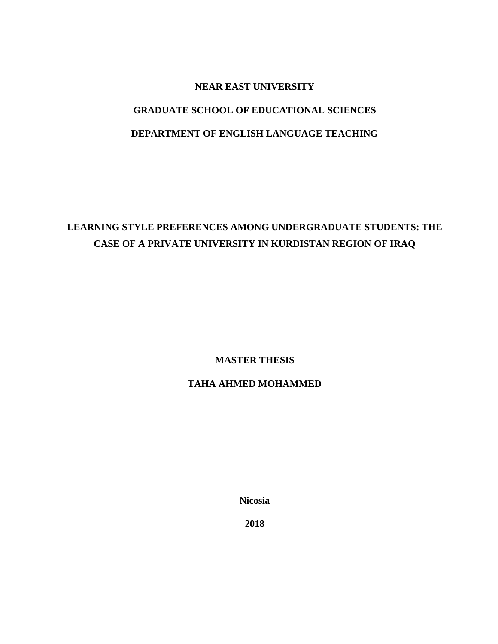# **NEAR EAST UNIVERSITY GRADUATE SCHOOL OF EDUCATIONAL SCIENCES**

# **DEPARTMENT OF ENGLISH LANGUAGE TEACHING**

# **LEARNING STYLE PREFERENCES AMONG UNDERGRADUATE STUDENTS: THE CASE OF A PRIVATE UNIVERSITY IN KURDISTAN REGION OF IRAQ**

**MASTER THESIS**

### **TAHA AHMED MOHAMMED**

**Nicosia**

**2018**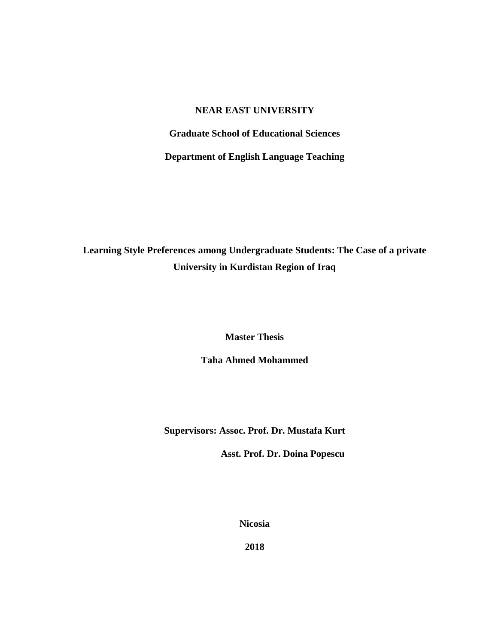#### **NEAR EAST UNIVERSITY**

**Graduate School of Educational Sciences**

**Department of English Language Teaching**

**Learning Style Preferences among Undergraduate Students: The Case of a private University in Kurdistan Region of Iraq** 

**Master Thesis**

**Taha Ahmed Mohammed**

**Supervisors: Assoc. Prof. Dr. Mustafa Kurt**

 **Asst. Prof. Dr. Doina Popescu**

**Nicosia**

**2018**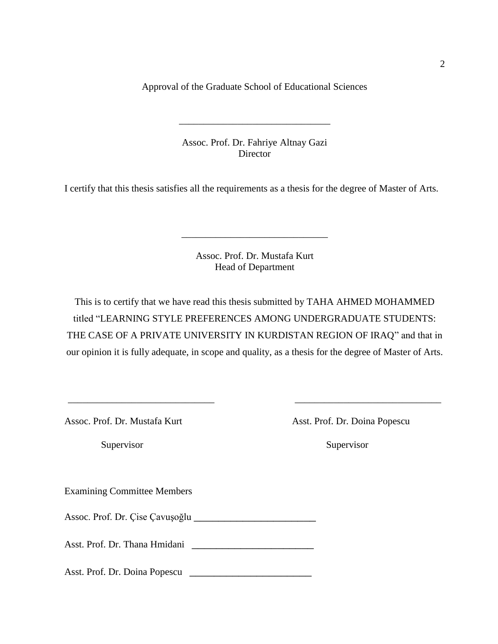Approval of the Graduate School of Educational Sciences

Assoc. Prof. Dr. Fahriye Altnay Gazi Director

\_\_\_\_\_\_\_\_\_\_\_\_\_\_\_\_\_\_\_\_\_\_\_\_\_\_\_\_\_\_\_

I certify that this thesis satisfies all the requirements as a thesis for the degree of Master of Arts.

Assoc. Prof. Dr. Mustafa Kurt Head of Department

\_\_\_\_\_\_\_\_\_\_\_\_\_\_\_\_\_\_\_\_\_\_\_\_\_\_\_\_\_\_

This is to certify that we have read this thesis submitted by TAHA AHMED MOHAMMED titled "LEARNING STYLE PREFERENCES AMONG UNDERGRADUATE STUDENTS: THE CASE OF A PRIVATE UNIVERSITY IN KURDISTAN REGION OF IRAQ" and that in our opinion it is fully adequate, in scope and quality, as a thesis for the degree of Master of Arts.

 $\overline{\phantom{a}}$  , and the contract of the contract of the contract of the contract of the contract of the contract of the contract of the contract of the contract of the contract of the contract of the contract of the contrac

Assoc. Prof. Dr. Mustafa Kurt Asst. Prof. Dr. Doina Popescu

Supervisor Supervisor

Examining Committee Members

Assoc. Prof. Dr. Çise Çavuşoğlu \_\_\_\_\_\_\_\_\_\_\_\_\_\_\_\_\_\_\_\_

Asst. Prof. Dr. Thana Hmidani \_\_\_\_\_\_\_\_\_\_\_\_\_\_\_\_\_\_\_\_

Asst. Prof. Dr. Doina Popescu \_\_\_\_\_\_\_\_\_\_\_\_\_\_\_\_\_\_\_\_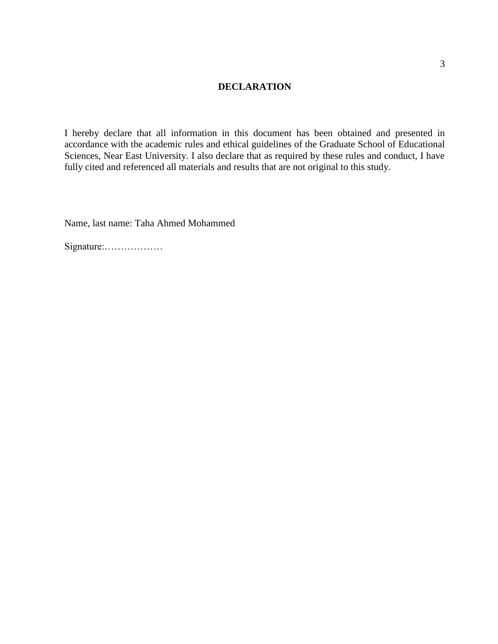#### **DECLARATION**

I hereby declare that all information in this document has been obtained and presented in accordance with the academic rules and ethical guidelines of the Graduate School of Educational Sciences, Near East University. I also declare that as required by these rules and conduct, I have fully cited and referenced all materials and results that are not original to this study.

Name, last name: Taha Ahmed Mohammed

Signature:………………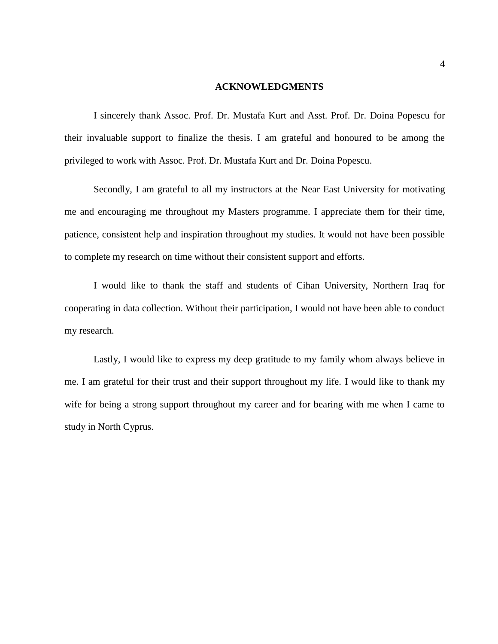#### **ACKNOWLEDGMENTS**

I sincerely thank Assoc. Prof. Dr. Mustafa Kurt and Asst. Prof. Dr. Doina Popescu for their invaluable support to finalize the thesis. I am grateful and honoured to be among the privileged to work with Assoc. Prof. Dr. Mustafa Kurt and Dr. Doina Popescu.

Secondly, I am grateful to all my instructors at the Near East University for motivating me and encouraging me throughout my Masters programme. I appreciate them for their time, patience, consistent help and inspiration throughout my studies. It would not have been possible to complete my research on time without their consistent support and efforts.

I would like to thank the staff and students of Cihan University, Northern Iraq for cooperating in data collection. Without their participation, I would not have been able to conduct my research.

Lastly, I would like to express my deep gratitude to my family whom always believe in me. I am grateful for their trust and their support throughout my life. I would like to thank my wife for being a strong support throughout my career and for bearing with me when I came to study in North Cyprus.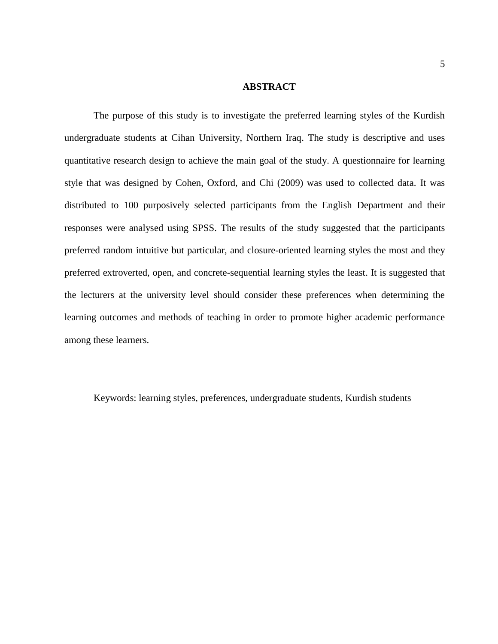#### **ABSTRACT**

The purpose of this study is to investigate the preferred learning styles of the Kurdish undergraduate students at Cihan University, Northern Iraq. The study is descriptive and uses quantitative research design to achieve the main goal of the study. A questionnaire for learning style that was designed by Cohen, Oxford, and Chi (2009) was used to collected data. It was distributed to 100 purposively selected participants from the English Department and their responses were analysed using SPSS. The results of the study suggested that the participants preferred random intuitive but particular, and closure-oriented learning styles the most and they preferred extroverted, open, and concrete-sequential learning styles the least. It is suggested that the lecturers at the university level should consider these preferences when determining the learning outcomes and methods of teaching in order to promote higher academic performance among these learners.

Keywords: learning styles, preferences, undergraduate students, Kurdish students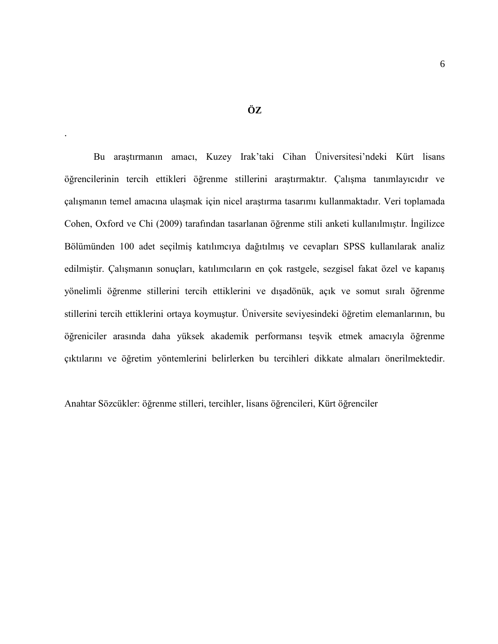.

Bu araştırmanın amacı, Kuzey Irak'taki Cihan Üniversitesi'ndeki Kürt lisans öğrencilerinin tercih ettikleri öğrenme stillerini araştırmaktır. Çalışma tanımlayıcıdır ve çalışmanın temel amacına ulaşmak için nicel araştırma tasarımı kullanmaktadır. Veri toplamada Cohen, Oxford ve Chi (2009) tarafından tasarlanan öğrenme stili anketi kullanılmıştır. İngilizce Bölümünden 100 adet seçilmiş katılımcıya dağıtılmış ve cevapları SPSS kullanılarak analiz edilmiştir. Çalışmanın sonuçları, katılımcıların en çok rastgele, sezgisel fakat özel ve kapanış yönelimli öğrenme stillerini tercih ettiklerini ve dışadönük, açık ve somut sıralı öğrenme stillerini tercih ettiklerini ortaya koymuştur. Üniversite seviyesindeki öğretim elemanlarının, bu öğreniciler arasında daha yüksek akademik performansı teşvik etmek amacıyla öğrenme çıktılarını ve öğretim yöntemlerini belirlerken bu tercihleri dikkate almaları önerilmektedir.

Anahtar Sözcükler: öğrenme stilleri, tercihler, lisans öğrencileri, Kürt öğrenciler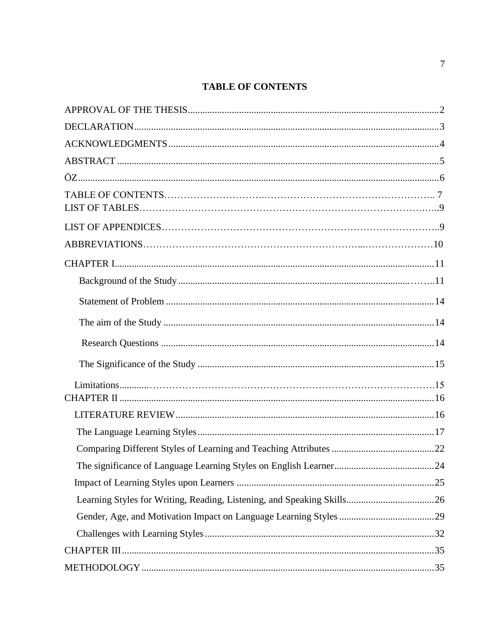# **TABLE OF CONTENTS**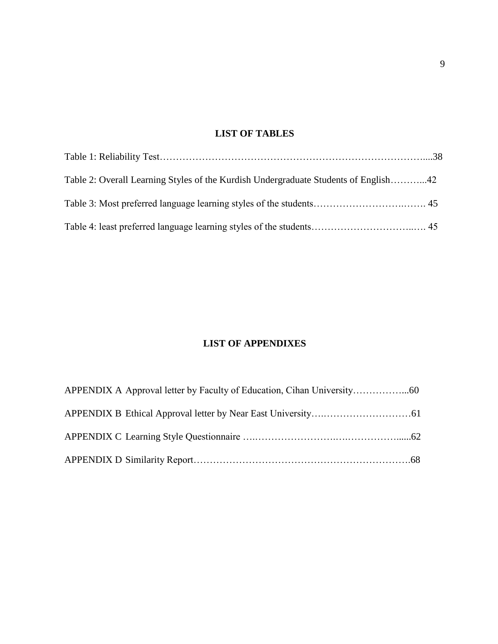# **LIST OF TABLES**

| Table 2: Overall Learning Styles of the Kurdish Undergraduate Students of English42 |  |
|-------------------------------------------------------------------------------------|--|
|                                                                                     |  |
|                                                                                     |  |

# **LIST OF APPENDIXES**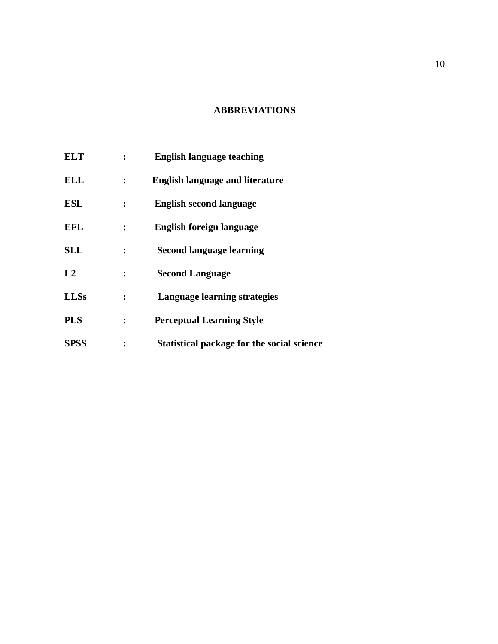### **ABBREVIATIONS**

| <b>ELT</b>  | <b>English language teaching</b>           |
|-------------|--------------------------------------------|
| <b>ELL</b>  | <b>English language and literature</b>     |
| <b>ESL</b>  | <b>English second language</b>             |
| <b>EFL</b>  | <b>English foreign language</b>            |
| <b>SLL</b>  | <b>Second language learning</b>            |
| L2          | <b>Second Language</b>                     |
| <b>LLSs</b> | Language learning strategies               |
| <b>PLS</b>  | <b>Perceptual Learning Style</b>           |
| <b>SPSS</b> | Statistical package for the social science |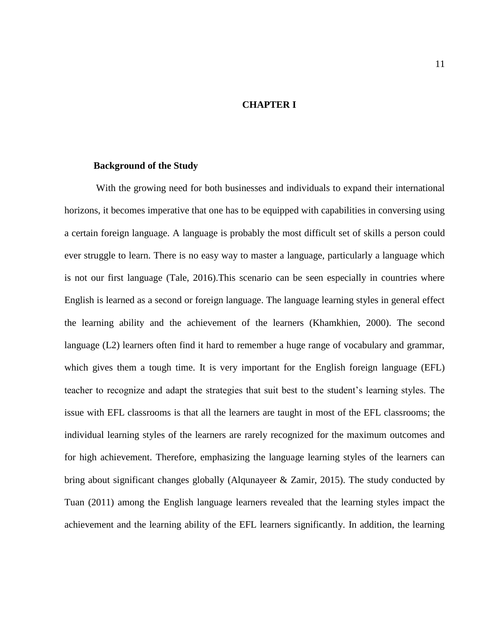#### **CHAPTER I**

#### <span id="page-11-0"></span>**Background of the Study**

With the growing need for both businesses and individuals to expand their international horizons, it becomes imperative that one has to be equipped with capabilities in conversing using a certain foreign language. A language is probably the most difficult set of skills a person could ever struggle to learn. There is no easy way to master a language, particularly a language which is not our first language (Tale, 2016).This scenario can be seen especially in countries where English is learned as a second or foreign language. The language learning styles in general effect the learning ability and the achievement of the learners (Khamkhien, 2000). The second language (L2) learners often find it hard to remember a huge range of vocabulary and grammar, which gives them a tough time. It is very important for the English foreign language (EFL) teacher to recognize and adapt the strategies that suit best to the student's learning styles. The issue with EFL classrooms is that all the learners are taught in most of the EFL classrooms; the individual learning styles of the learners are rarely recognized for the maximum outcomes and for high achievement. Therefore, emphasizing the language learning styles of the learners can bring about significant changes globally (Alqunayeer & Zamir, 2015). The study conducted by Tuan (2011) among the English language learners revealed that the learning styles impact the achievement and the learning ability of the EFL learners significantly. In addition, the learning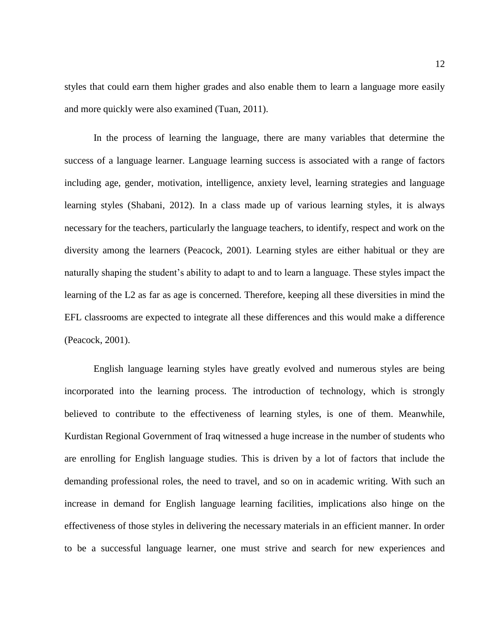styles that could earn them higher grades and also enable them to learn a language more easily and more quickly were also examined (Tuan, 2011).

In the process of learning the language, there are many variables that determine the success of a language learner. Language learning success is associated with a range of factors including age, gender, motivation, intelligence, anxiety level, learning strategies and language learning styles (Shabani, 2012). In a class made up of various learning styles, it is always necessary for the teachers, particularly the language teachers, to identify, respect and work on the diversity among the learners (Peacock, 2001). Learning styles are either habitual or they are naturally shaping the student's ability to adapt to and to learn a language. These styles impact the learning of the L2 as far as age is concerned. Therefore, keeping all these diversities in mind the EFL classrooms are expected to integrate all these differences and this would make a difference (Peacock, 2001).

English language learning styles have greatly evolved and numerous styles are being incorporated into the learning process. The introduction of technology, which is strongly believed to contribute to the effectiveness of learning styles, is one of them. Meanwhile, Kurdistan Regional Government of Iraq witnessed a huge increase in the number of students who are enrolling for English language studies. This is driven by a lot of factors that include the demanding professional roles, the need to travel, and so on in academic writing. With such an increase in demand for English language learning facilities, implications also hinge on the effectiveness of those styles in delivering the necessary materials in an efficient manner. In order to be a successful language learner, one must strive and search for new experiences and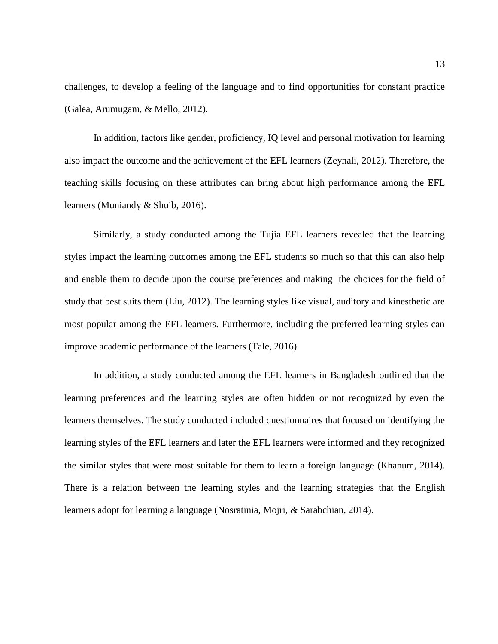challenges, to develop a feeling of the language and to find opportunities for constant practice (Galea, Arumugam, & Mello, 2012).

In addition, factors like gender, proficiency, IQ level and personal motivation for learning also impact the outcome and the achievement of the EFL learners (Zeynali, 2012). Therefore, the teaching skills focusing on these attributes can bring about high performance among the EFL learners (Muniandy & Shuib, 2016).

Similarly, a study conducted among the Tujia EFL learners revealed that the learning styles impact the learning outcomes among the EFL students so much so that this can also help and enable them to decide upon the course preferences and making the choices for the field of study that best suits them (Liu, 2012). The learning styles like visual, auditory and kinesthetic are most popular among the EFL learners. Furthermore, including the preferred learning styles can improve academic performance of the learners (Tale, 2016).

In addition, a study conducted among the EFL learners in Bangladesh outlined that the learning preferences and the learning styles are often hidden or not recognized by even the learners themselves. The study conducted included questionnaires that focused on identifying the learning styles of the EFL learners and later the EFL learners were informed and they recognized the similar styles that were most suitable for them to learn a foreign language (Khanum, 2014). There is a relation between the learning styles and the learning strategies that the English learners adopt for learning a language (Nosratinia, Mojri, & Sarabchian, 2014).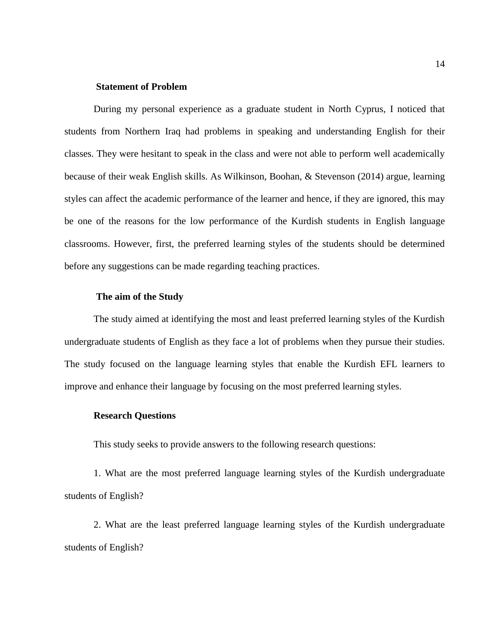#### **Statement of Problem**

During my personal experience as a graduate student in North Cyprus, I noticed that students from Northern Iraq had problems in speaking and understanding English for their classes. They were hesitant to speak in the class and were not able to perform well academically because of their weak English skills. As Wilkinson, Boohan, & Stevenson (2014) argue, learning styles can affect the academic performance of the learner and hence, if they are ignored, this may be one of the reasons for the low performance of the Kurdish students in English language classrooms. However, first, the preferred learning styles of the students should be determined before any suggestions can be made regarding teaching practices.

#### **The aim of the Study**

The study aimed at identifying the most and least preferred learning styles of the Kurdish undergraduate students of English as they face a lot of problems when they pursue their studies. The study focused on the language learning styles that enable the Kurdish EFL learners to improve and enhance their language by focusing on the most preferred learning styles.

#### **Research Questions**

This study seeks to provide answers to the following research questions:

1. What are the most preferred language learning styles of the Kurdish undergraduate students of English?

2. What are the least preferred language learning styles of the Kurdish undergraduate students of English?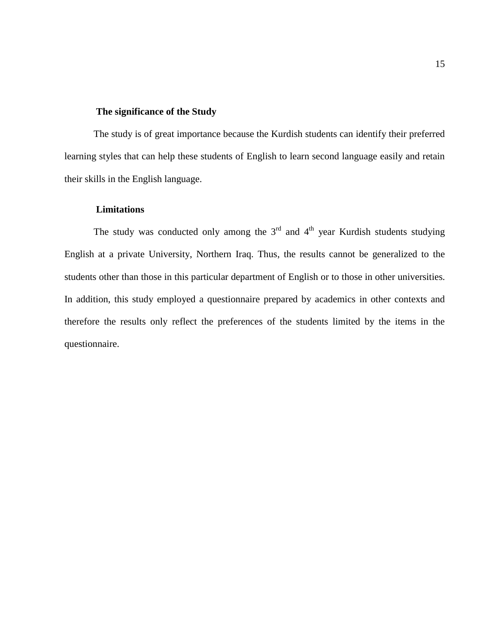#### **The significance of the Study**

The study is of great importance because the Kurdish students can identify their preferred learning styles that can help these students of English to learn second language easily and retain their skills in the English language.

#### **Limitations**

The study was conducted only among the  $3<sup>rd</sup>$  and  $4<sup>th</sup>$  year Kurdish students studying English at a private University, Northern Iraq. Thus, the results cannot be generalized to the students other than those in this particular department of English or to those in other universities. In addition, this study employed a questionnaire prepared by academics in other contexts and therefore the results only reflect the preferences of the students limited by the items in the questionnaire.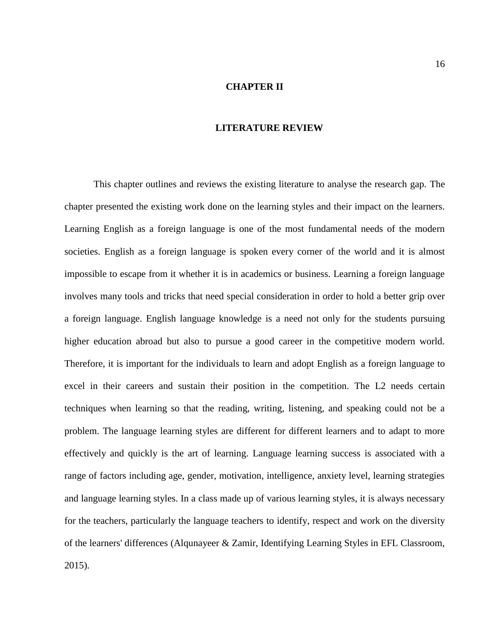#### **CHAPTER II**

#### **LITERATURE REVIEW**

<span id="page-16-1"></span><span id="page-16-0"></span>This chapter outlines and reviews the existing literature to analyse the research gap. The chapter presented the existing work done on the learning styles and their impact on the learners. Learning English as a foreign language is one of the most fundamental needs of the modern societies. English as a foreign language is spoken every corner of the world and it is almost impossible to escape from it whether it is in academics or business. Learning a foreign language involves many tools and tricks that need special consideration in order to hold a better grip over a foreign language. English language knowledge is a need not only for the students pursuing higher education abroad but also to pursue a good career in the competitive modern world. Therefore, it is important for the individuals to learn and adopt English as a foreign language to excel in their careers and sustain their position in the competition. The L2 needs certain techniques when learning so that the reading, writing, listening, and speaking could not be a problem. The language learning styles are different for different learners and to adapt to more effectively and quickly is the art of learning. Language learning success is associated with a range of factors including age, gender, motivation, intelligence, anxiety level, learning strategies and language learning styles. In a class made up of various learning styles, it is always necessary for the teachers, particularly the language teachers to identify, respect and work on the diversity of the learners' differences (Alqunayeer & Zamir, Identifying Learning Styles in EFL Classroom, 2015).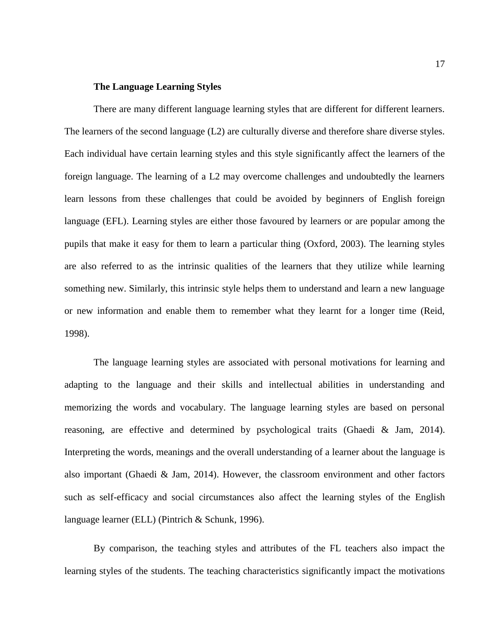#### **The Language Learning Styles**

<span id="page-17-0"></span>There are many different language learning styles that are different for different learners. The learners of the second language (L2) are culturally diverse and therefore share diverse styles. Each individual have certain learning styles and this style significantly affect the learners of the foreign language. The learning of a L2 may overcome challenges and undoubtedly the learners learn lessons from these challenges that could be avoided by beginners of English foreign language (EFL). Learning styles are either those favoured by learners or are popular among the pupils that make it easy for them to learn a particular thing (Oxford, 2003). The learning styles are also referred to as the intrinsic qualities of the learners that they utilize while learning something new. Similarly, this intrinsic style helps them to understand and learn a new language or new information and enable them to remember what they learnt for a longer time (Reid, 1998).

The language learning styles are associated with personal motivations for learning and adapting to the language and their skills and intellectual abilities in understanding and memorizing the words and vocabulary. The language learning styles are based on personal reasoning, are effective and determined by psychological traits (Ghaedi & Jam, 2014). Interpreting the words, meanings and the overall understanding of a learner about the language is also important (Ghaedi & Jam, 2014). However, the classroom environment and other factors such as self-efficacy and social circumstances also affect the learning styles of the English language learner (ELL) (Pintrich & Schunk, 1996).

By comparison, the teaching styles and attributes of the FL teachers also impact the learning styles of the students. The teaching characteristics significantly impact the motivations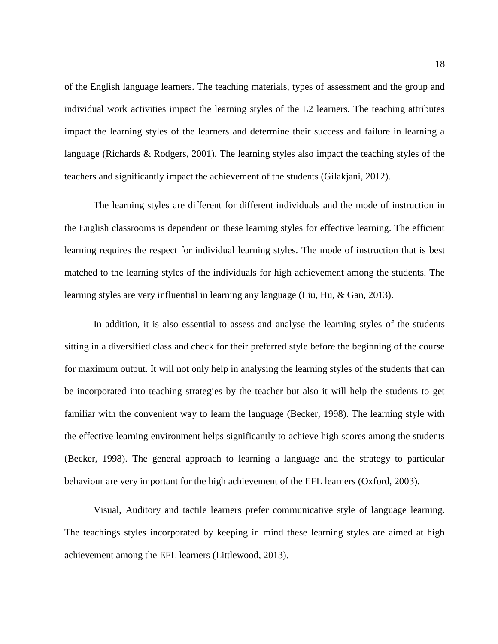of the English language learners. The teaching materials, types of assessment and the group and individual work activities impact the learning styles of the L2 learners. The teaching attributes impact the learning styles of the learners and determine their success and failure in learning a language (Richards & Rodgers, 2001). The learning styles also impact the teaching styles of the teachers and significantly impact the achievement of the students (Gilakjani, 2012).

The learning styles are different for different individuals and the mode of instruction in the English classrooms is dependent on these learning styles for effective learning. The efficient learning requires the respect for individual learning styles. The mode of instruction that is best matched to the learning styles of the individuals for high achievement among the students. The learning styles are very influential in learning any language (Liu, Hu, & Gan, 2013).

In addition, it is also essential to assess and analyse the learning styles of the students sitting in a diversified class and check for their preferred style before the beginning of the course for maximum output. It will not only help in analysing the learning styles of the students that can be incorporated into teaching strategies by the teacher but also it will help the students to get familiar with the convenient way to learn the language (Becker, 1998). The learning style with the effective learning environment helps significantly to achieve high scores among the students (Becker, 1998). The general approach to learning a language and the strategy to particular behaviour are very important for the high achievement of the EFL learners (Oxford, 2003).

Visual, Auditory and tactile learners prefer communicative style of language learning. The teachings styles incorporated by keeping in mind these learning styles are aimed at high achievement among the EFL learners (Littlewood, 2013).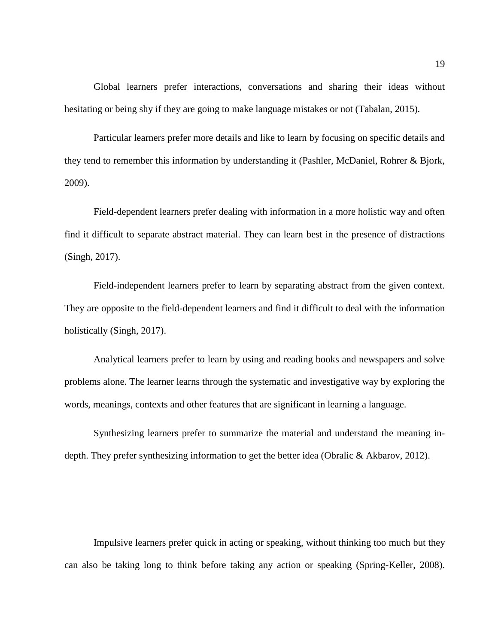Global learners prefer interactions, conversations and sharing their ideas without hesitating or being shy if they are going to make language mistakes or not (Tabalan, 2015).

Particular learners prefer more details and like to learn by focusing on specific details and they tend to remember this information by understanding it (Pashler, McDaniel, Rohrer & Bjork, 2009).

Field-dependent learners prefer dealing with information in a more holistic way and often find it difficult to separate abstract material. They can learn best in the presence of distractions (Singh, 2017).

Field-independent learners prefer to learn by separating abstract from the given context. They are opposite to the field-dependent learners and find it difficult to deal with the information holistically (Singh, 2017).

Analytical learners prefer to learn by using and reading books and newspapers and solve problems alone. The learner learns through the systematic and investigative way by exploring the words, meanings, contexts and other features that are significant in learning a language.

Synthesizing learners prefer to summarize the material and understand the meaning indepth. They prefer synthesizing information to get the better idea (Obralic & Akbarov, 2012).

Impulsive learners prefer quick in acting or speaking, without thinking too much but they can also be taking long to think before taking any action or speaking (Spring-Keller, 2008).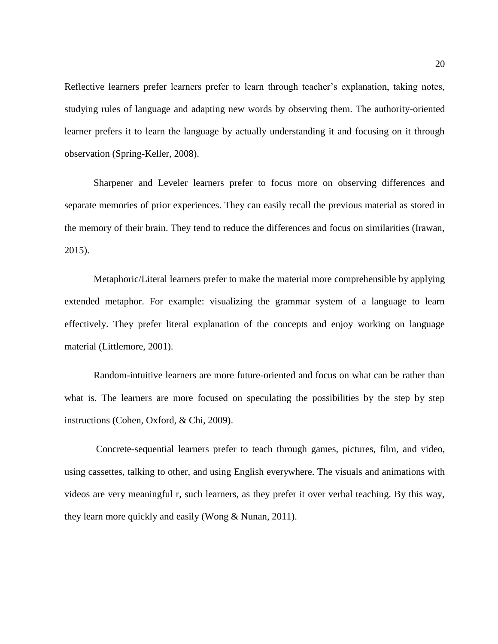Reflective learners prefer learners prefer to learn through teacher's explanation, taking notes, studying rules of language and adapting new words by observing them. The authority-oriented learner prefers it to learn the language by actually understanding it and focusing on it through observation (Spring-Keller, 2008).

Sharpener and Leveler learners prefer to focus more on observing differences and separate memories of prior experiences. They can easily recall the previous material as stored in the memory of their brain. They tend to reduce the differences and focus on similarities (Irawan, 2015).

Metaphoric/Literal learners prefer to make the material more comprehensible by applying extended metaphor. For example: visualizing the grammar system of a language to learn effectively. They prefer literal explanation of the concepts and enjoy working on language material (Littlemore, 2001).

Random-intuitive learners are more future-oriented and focus on what can be rather than what is. The learners are more focused on speculating the possibilities by the step by step instructions (Cohen, Oxford, & Chi, 2009).

Concrete-sequential learners prefer to teach through games, pictures, film, and video, using cassettes, talking to other, and using English everywhere. The visuals and animations with videos are very meaningful r, such learners, as they prefer it over verbal teaching. By this way, they learn more quickly and easily (Wong & Nunan, 2011).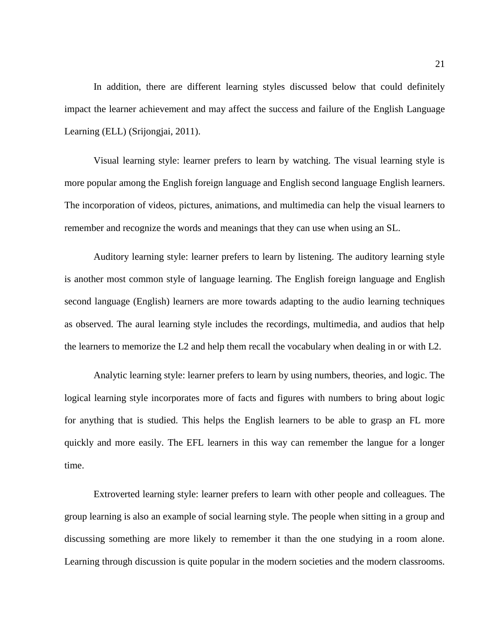In addition, there are different learning styles discussed below that could definitely impact the learner achievement and may affect the success and failure of the English Language Learning (ELL) (Srijongjai, 2011).

Visual learning style: learner prefers to learn by watching. The visual learning style is more popular among the English foreign language and English second language English learners. The incorporation of videos, pictures, animations, and multimedia can help the visual learners to remember and recognize the words and meanings that they can use when using an SL.

Auditory learning style: learner prefers to learn by listening. The auditory learning style is another most common style of language learning. The English foreign language and English second language (English) learners are more towards adapting to the audio learning techniques as observed. The aural learning style includes the recordings, multimedia, and audios that help the learners to memorize the L2 and help them recall the vocabulary when dealing in or with L2.

Analytic learning style: learner prefers to learn by using numbers, theories, and logic. The logical learning style incorporates more of facts and figures with numbers to bring about logic for anything that is studied. This helps the English learners to be able to grasp an FL more quickly and more easily. The EFL learners in this way can remember the langue for a longer time.

Extroverted learning style: learner prefers to learn with other people and colleagues. The group learning is also an example of social learning style. The people when sitting in a group and discussing something are more likely to remember it than the one studying in a room alone. Learning through discussion is quite popular in the modern societies and the modern classrooms.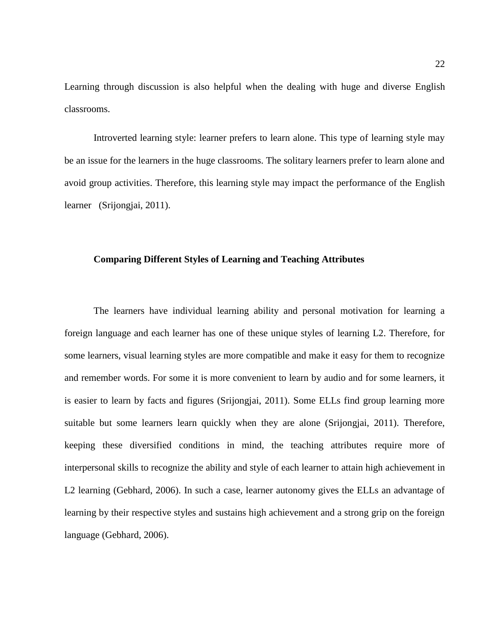Learning through discussion is also helpful when the dealing with huge and diverse English classrooms.

Introverted learning style: learner prefers to learn alone. This type of learning style may be an issue for the learners in the huge classrooms. The solitary learners prefer to learn alone and avoid group activities. Therefore, this learning style may impact the performance of the English learner (Srijongjai, 2011).

#### <span id="page-22-0"></span>**Comparing Different Styles of Learning and Teaching Attributes**

The learners have individual learning ability and personal motivation for learning a foreign language and each learner has one of these unique styles of learning L2. Therefore, for some learners, visual learning styles are more compatible and make it easy for them to recognize and remember words. For some it is more convenient to learn by audio and for some learners, it is easier to learn by facts and figures (Srijongjai, 2011). Some ELLs find group learning more suitable but some learners learn quickly when they are alone (Srijongjai, 2011). Therefore, keeping these diversified conditions in mind, the teaching attributes require more of interpersonal skills to recognize the ability and style of each learner to attain high achievement in L2 learning (Gebhard, 2006). In such a case, learner autonomy gives the ELLs an advantage of learning by their respective styles and sustains high achievement and a strong grip on the foreign language (Gebhard, 2006).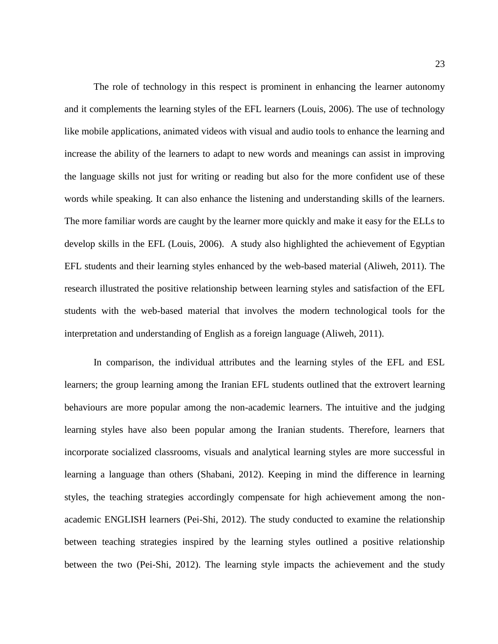The role of technology in this respect is prominent in enhancing the learner autonomy and it complements the learning styles of the EFL learners (Louis, 2006). The use of technology like mobile applications, animated videos with visual and audio tools to enhance the learning and increase the ability of the learners to adapt to new words and meanings can assist in improving the language skills not just for writing or reading but also for the more confident use of these words while speaking. It can also enhance the listening and understanding skills of the learners. The more familiar words are caught by the learner more quickly and make it easy for the ELLs to develop skills in the EFL (Louis, 2006). A study also highlighted the achievement of Egyptian EFL students and their learning styles enhanced by the web-based material (Aliweh, 2011). The research illustrated the positive relationship between learning styles and satisfaction of the EFL students with the web-based material that involves the modern technological tools for the interpretation and understanding of English as a foreign language (Aliweh, 2011).

In comparison, the individual attributes and the learning styles of the EFL and ESL learners; the group learning among the Iranian EFL students outlined that the extrovert learning behaviours are more popular among the non-academic learners. The intuitive and the judging learning styles have also been popular among the Iranian students. Therefore, learners that incorporate socialized classrooms, visuals and analytical learning styles are more successful in learning a language than others (Shabani, 2012). Keeping in mind the difference in learning styles, the teaching strategies accordingly compensate for high achievement among the nonacademic ENGLISH learners (Pei-Shi, 2012). The study conducted to examine the relationship between teaching strategies inspired by the learning styles outlined a positive relationship between the two (Pei-Shi, 2012). The learning style impacts the achievement and the study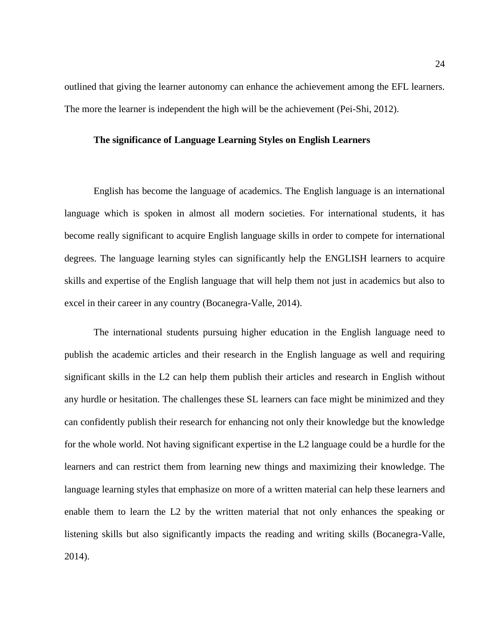outlined that giving the learner autonomy can enhance the achievement among the EFL learners. The more the learner is independent the high will be the achievement (Pei-Shi, 2012).

#### <span id="page-24-0"></span>**The significance of Language Learning Styles on English Learners**

English has become the language of academics. The English language is an international language which is spoken in almost all modern societies. For international students, it has become really significant to acquire English language skills in order to compete for international degrees. The language learning styles can significantly help the ENGLISH learners to acquire skills and expertise of the English language that will help them not just in academics but also to excel in their career in any country (Bocanegra-Valle, 2014).

The international students pursuing higher education in the English language need to publish the academic articles and their research in the English language as well and requiring significant skills in the L2 can help them publish their articles and research in English without any hurdle or hesitation. The challenges these SL learners can face might be minimized and they can confidently publish their research for enhancing not only their knowledge but the knowledge for the whole world. Not having significant expertise in the L2 language could be a hurdle for the learners and can restrict them from learning new things and maximizing their knowledge. The language learning styles that emphasize on more of a written material can help these learners and enable them to learn the L2 by the written material that not only enhances the speaking or listening skills but also significantly impacts the reading and writing skills (Bocanegra-Valle, 2014).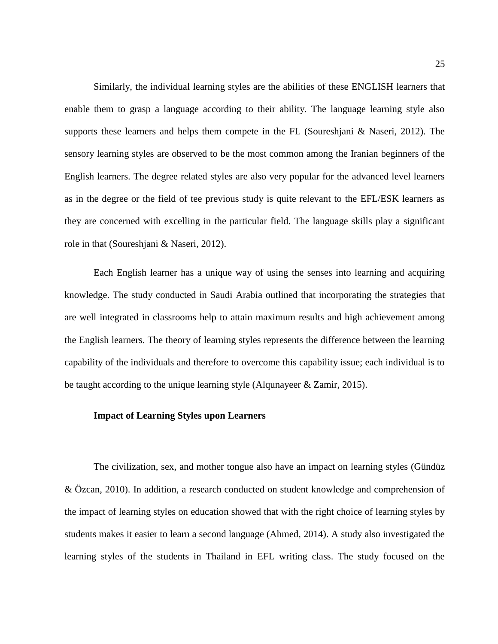Similarly, the individual learning styles are the abilities of these ENGLISH learners that enable them to grasp a language according to their ability. The language learning style also supports these learners and helps them compete in the FL (Soureshjani & Naseri, 2012). The sensory learning styles are observed to be the most common among the Iranian beginners of the English learners. The degree related styles are also very popular for the advanced level learners as in the degree or the field of tee previous study is quite relevant to the EFL/ESK learners as they are concerned with excelling in the particular field. The language skills play a significant role in that (Soureshjani & Naseri, 2012).

Each English learner has a unique way of using the senses into learning and acquiring knowledge. The study conducted in Saudi Arabia outlined that incorporating the strategies that are well integrated in classrooms help to attain maximum results and high achievement among the English learners. The theory of learning styles represents the difference between the learning capability of the individuals and therefore to overcome this capability issue; each individual is to be taught according to the unique learning style (Alqunayeer & Zamir, 2015).

#### <span id="page-25-0"></span>**Impact of Learning Styles upon Learners**

The civilization, sex, and mother tongue also have an impact on learning styles (Gündüz & Özcan, 2010). In addition, a research conducted on student knowledge and comprehension of the impact of learning styles on education showed that with the right choice of learning styles by students makes it easier to learn a second language (Ahmed, 2014). A study also investigated the learning styles of the students in Thailand in EFL writing class. The study focused on the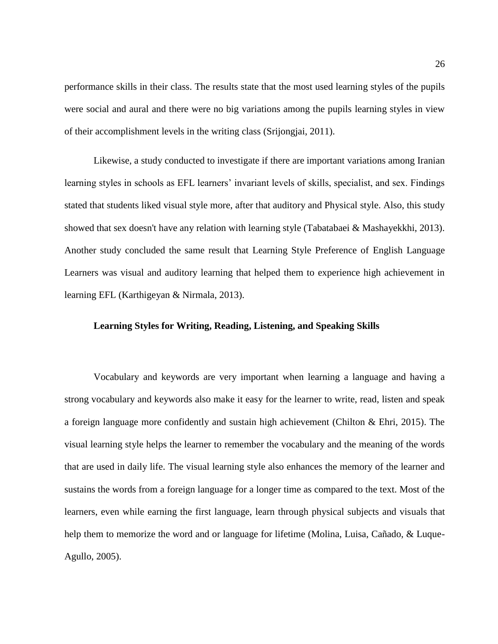performance skills in their class. The results state that the most used learning styles of the pupils were social and aural and there were no big variations among the pupils learning styles in view of their accomplishment levels in the writing class (Srijongjai, 2011).

Likewise, a study conducted to investigate if there are important variations among Iranian learning styles in schools as EFL learners' invariant levels of skills, specialist, and sex. Findings stated that students liked visual style more, after that auditory and Physical style. Also, this study showed that sex doesn't have any relation with learning style (Tabatabaei & Mashayekkhi, 2013). Another study concluded the same result that Learning Style Preference of English Language Learners was visual and auditory learning that helped them to experience high achievement in learning EFL (Karthigeyan & Nirmala, 2013).

#### <span id="page-26-0"></span>**Learning Styles for Writing, Reading, Listening, and Speaking Skills**

Vocabulary and keywords are very important when learning a language and having a strong vocabulary and keywords also make it easy for the learner to write, read, listen and speak a foreign language more confidently and sustain high achievement (Chilton & Ehri, 2015). The visual learning style helps the learner to remember the vocabulary and the meaning of the words that are used in daily life. The visual learning style also enhances the memory of the learner and sustains the words from a foreign language for a longer time as compared to the text. Most of the learners, even while earning the first language, learn through physical subjects and visuals that help them to memorize the word and or language for lifetime (Molina, Luisa, Cañado, & Luque-Agullo, 2005).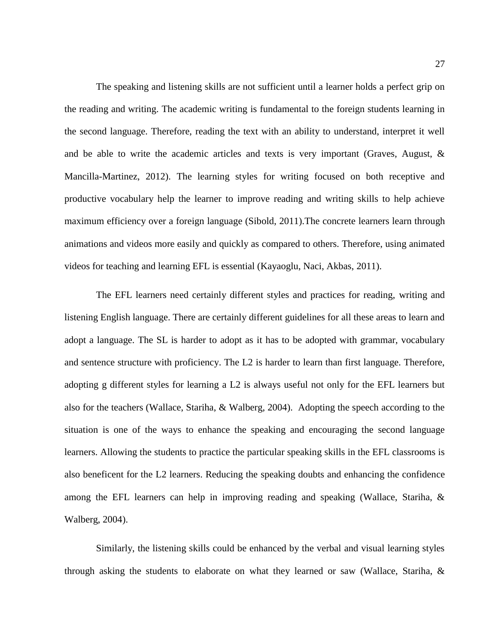The speaking and listening skills are not sufficient until a learner holds a perfect grip on the reading and writing. The academic writing is fundamental to the foreign students learning in the second language. Therefore, reading the text with an ability to understand, interpret it well and be able to write the academic articles and texts is very important (Graves, August,  $\&$ Mancilla-Martinez, 2012). The learning styles for writing focused on both receptive and productive vocabulary help the learner to improve reading and writing skills to help achieve maximum efficiency over a foreign language (Sibold, 2011).The concrete learners learn through animations and videos more easily and quickly as compared to others. Therefore, using animated videos for teaching and learning EFL is essential (Kayaoglu, Naci, Akbas, 2011).

The EFL learners need certainly different styles and practices for reading, writing and listening English language. There are certainly different guidelines for all these areas to learn and adopt a language. The SL is harder to adopt as it has to be adopted with grammar, vocabulary and sentence structure with proficiency. The L2 is harder to learn than first language. Therefore, adopting g different styles for learning a L2 is always useful not only for the EFL learners but also for the teachers (Wallace, Stariha, & Walberg, 2004). Adopting the speech according to the situation is one of the ways to enhance the speaking and encouraging the second language learners. Allowing the students to practice the particular speaking skills in the EFL classrooms is also beneficent for the L2 learners. Reducing the speaking doubts and enhancing the confidence among the EFL learners can help in improving reading and speaking (Wallace, Stariha, & Walberg, 2004).

Similarly, the listening skills could be enhanced by the verbal and visual learning styles through asking the students to elaborate on what they learned or saw (Wallace, Stariha, &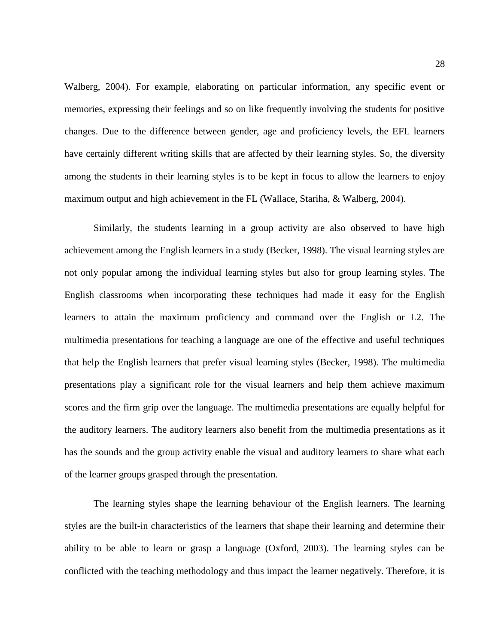Walberg, 2004). For example, elaborating on particular information, any specific event or memories, expressing their feelings and so on like frequently involving the students for positive changes. Due to the difference between gender, age and proficiency levels, the EFL learners have certainly different writing skills that are affected by their learning styles. So, the diversity among the students in their learning styles is to be kept in focus to allow the learners to enjoy maximum output and high achievement in the FL (Wallace, Stariha, & Walberg, 2004).

Similarly, the students learning in a group activity are also observed to have high achievement among the English learners in a study (Becker, 1998). The visual learning styles are not only popular among the individual learning styles but also for group learning styles. The English classrooms when incorporating these techniques had made it easy for the English learners to attain the maximum proficiency and command over the English or L2. The multimedia presentations for teaching a language are one of the effective and useful techniques that help the English learners that prefer visual learning styles (Becker, 1998). The multimedia presentations play a significant role for the visual learners and help them achieve maximum scores and the firm grip over the language. The multimedia presentations are equally helpful for the auditory learners. The auditory learners also benefit from the multimedia presentations as it has the sounds and the group activity enable the visual and auditory learners to share what each of the learner groups grasped through the presentation.

The learning styles shape the learning behaviour of the English learners. The learning styles are the built-in characteristics of the learners that shape their learning and determine their ability to be able to learn or grasp a language (Oxford, 2003). The learning styles can be conflicted with the teaching methodology and thus impact the learner negatively. Therefore, it is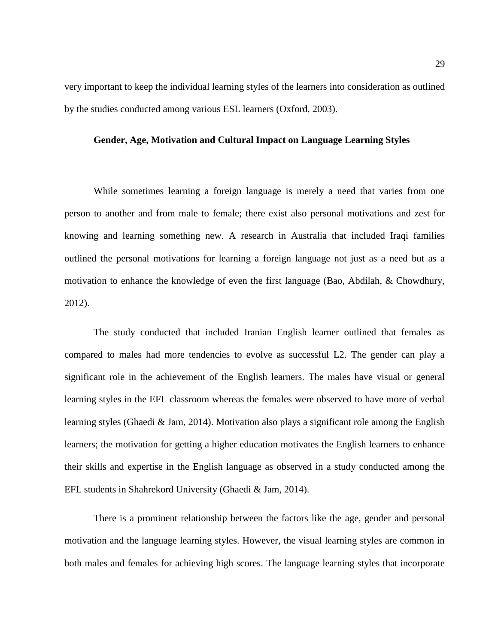very important to keep the individual learning styles of the learners into consideration as outlined by the studies conducted among various ESL learners (Oxford, 2003).

#### <span id="page-29-0"></span>**Gender, Age, Motivation and Cultural Impact on Language Learning Styles**

While sometimes learning a foreign language is merely a need that varies from one person to another and from male to female; there exist also personal motivations and zest for knowing and learning something new. A research in Australia that included Iraqi families outlined the personal motivations for learning a foreign language not just as a need but as a motivation to enhance the knowledge of even the first language (Bao, Abdilah, & Chowdhury, 2012).

The study conducted that included Iranian English learner outlined that females as compared to males had more tendencies to evolve as successful L2. The gender can play a significant role in the achievement of the English learners. The males have visual or general learning styles in the EFL classroom whereas the females were observed to have more of verbal learning styles (Ghaedi & Jam, 2014). Motivation also plays a significant role among the English learners; the motivation for getting a higher education motivates the English learners to enhance their skills and expertise in the English language as observed in a study conducted among the EFL students in Shahrekord University (Ghaedi & Jam, 2014).

There is a prominent relationship between the factors like the age, gender and personal motivation and the language learning styles. However, the visual learning styles are common in both males and females for achieving high scores. The language learning styles that incorporate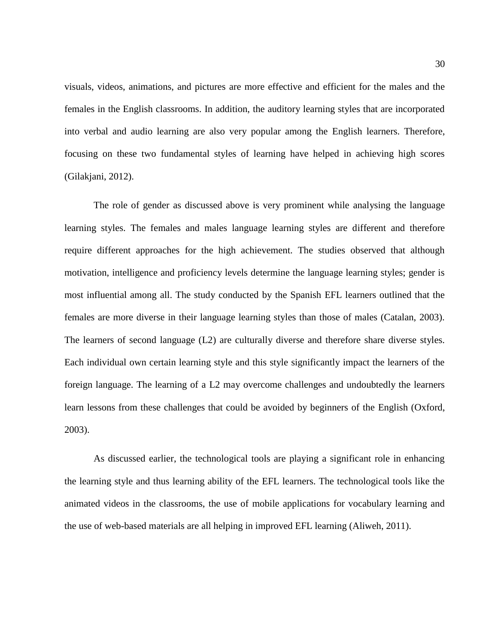visuals, videos, animations, and pictures are more effective and efficient for the males and the females in the English classrooms. In addition, the auditory learning styles that are incorporated into verbal and audio learning are also very popular among the English learners. Therefore, focusing on these two fundamental styles of learning have helped in achieving high scores (Gilakjani, 2012).

The role of gender as discussed above is very prominent while analysing the language learning styles. The females and males language learning styles are different and therefore require different approaches for the high achievement. The studies observed that although motivation, intelligence and proficiency levels determine the language learning styles; gender is most influential among all. The study conducted by the Spanish EFL learners outlined that the females are more diverse in their language learning styles than those of males (Catalan, 2003). The learners of second language (L2) are culturally diverse and therefore share diverse styles. Each individual own certain learning style and this style significantly impact the learners of the foreign language. The learning of a L2 may overcome challenges and undoubtedly the learners learn lessons from these challenges that could be avoided by beginners of the English (Oxford, 2003).

As discussed earlier, the technological tools are playing a significant role in enhancing the learning style and thus learning ability of the EFL learners. The technological tools like the animated videos in the classrooms, the use of mobile applications for vocabulary learning and the use of web-based materials are all helping in improved EFL learning (Aliweh, 2011).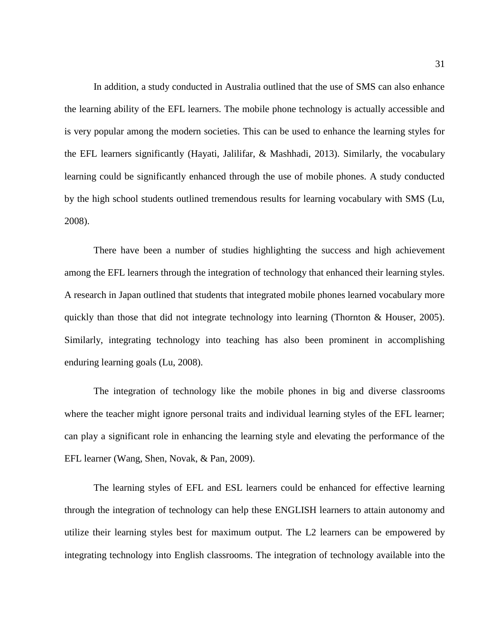In addition, a study conducted in Australia outlined that the use of SMS can also enhance the learning ability of the EFL learners. The mobile phone technology is actually accessible and is very popular among the modern societies. This can be used to enhance the learning styles for the EFL learners significantly (Hayati, Jalilifar, & Mashhadi, 2013). Similarly, the vocabulary learning could be significantly enhanced through the use of mobile phones. A study conducted by the high school students outlined tremendous results for learning vocabulary with SMS (Lu, 2008).

There have been a number of studies highlighting the success and high achievement among the EFL learners through the integration of technology that enhanced their learning styles. A research in Japan outlined that students that integrated mobile phones learned vocabulary more quickly than those that did not integrate technology into learning (Thornton & Houser, 2005). Similarly, integrating technology into teaching has also been prominent in accomplishing enduring learning goals (Lu, 2008).

The integration of technology like the mobile phones in big and diverse classrooms where the teacher might ignore personal traits and individual learning styles of the EFL learner; can play a significant role in enhancing the learning style and elevating the performance of the EFL learner (Wang, Shen, Novak, & Pan, 2009).

The learning styles of EFL and ESL learners could be enhanced for effective learning through the integration of technology can help these ENGLISH learners to attain autonomy and utilize their learning styles best for maximum output. The L2 learners can be empowered by integrating technology into English classrooms. The integration of technology available into the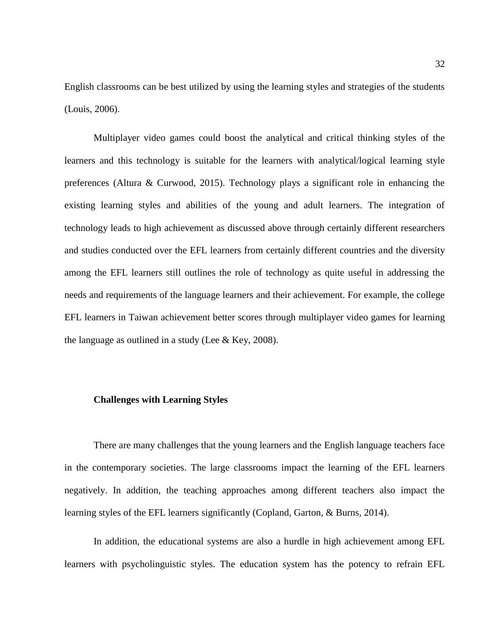English classrooms can be best utilized by using the learning styles and strategies of the students (Louis, 2006).

Multiplayer video games could boost the analytical and critical thinking styles of the learners and this technology is suitable for the learners with analytical/logical learning style preferences (Altura & Curwood, 2015). Technology plays a significant role in enhancing the existing learning styles and abilities of the young and adult learners. The integration of technology leads to high achievement as discussed above through certainly different researchers and studies conducted over the EFL learners from certainly different countries and the diversity among the EFL learners still outlines the role of technology as quite useful in addressing the needs and requirements of the language learners and their achievement. For example, the college EFL learners in Taiwan achievement better scores through multiplayer video games for learning the language as outlined in a study (Lee  $\&$  Key, 2008).

#### <span id="page-32-0"></span>**Challenges with Learning Styles**

There are many challenges that the young learners and the English language teachers face in the contemporary societies. The large classrooms impact the learning of the EFL learners negatively. In addition, the teaching approaches among different teachers also impact the learning styles of the EFL learners significantly (Copland, Garton, & Burns, 2014).

In addition, the educational systems are also a hurdle in high achievement among EFL learners with psycholinguistic styles. The education system has the potency to refrain EFL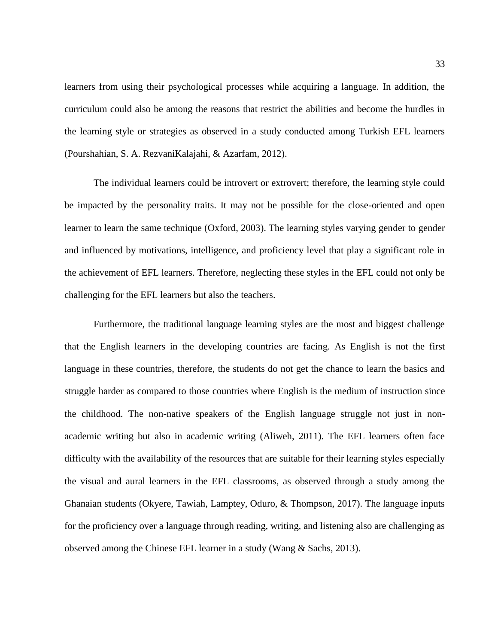learners from using their psychological processes while acquiring a language. In addition, the curriculum could also be among the reasons that restrict the abilities and become the hurdles in the learning style or strategies as observed in a study conducted among Turkish EFL learners (Pourshahian, S. A. RezvaniKalajahi, & Azarfam, 2012).

The individual learners could be introvert or extrovert; therefore, the learning style could be impacted by the personality traits. It may not be possible for the close-oriented and open learner to learn the same technique (Oxford, 2003). The learning styles varying gender to gender and influenced by motivations, intelligence, and proficiency level that play a significant role in the achievement of EFL learners. Therefore, neglecting these styles in the EFL could not only be challenging for the EFL learners but also the teachers.

Furthermore, the traditional language learning styles are the most and biggest challenge that the English learners in the developing countries are facing. As English is not the first language in these countries, therefore, the students do not get the chance to learn the basics and struggle harder as compared to those countries where English is the medium of instruction since the childhood. The non-native speakers of the English language struggle not just in nonacademic writing but also in academic writing (Aliweh, 2011). The EFL learners often face difficulty with the availability of the resources that are suitable for their learning styles especially the visual and aural learners in the EFL classrooms, as observed through a study among the Ghanaian students (Okyere, Tawiah, Lamptey, Oduro, & Thompson, 2017). The language inputs for the proficiency over a language through reading, writing, and listening also are challenging as observed among the Chinese EFL learner in a study (Wang & Sachs, 2013).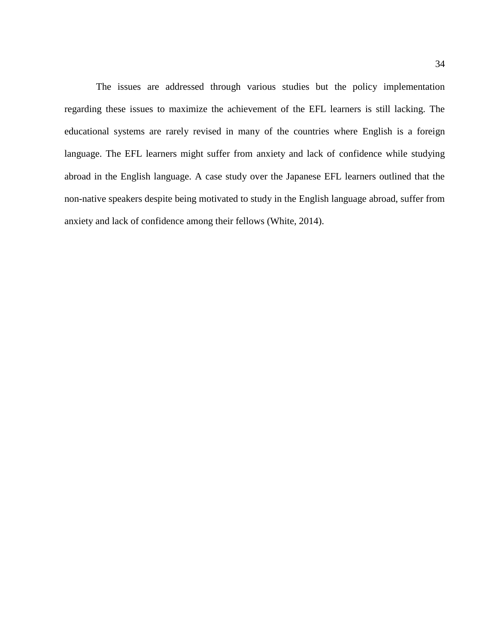The issues are addressed through various studies but the policy implementation regarding these issues to maximize the achievement of the EFL learners is still lacking. The educational systems are rarely revised in many of the countries where English is a foreign language. The EFL learners might suffer from anxiety and lack of confidence while studying abroad in the English language. A case study over the Japanese EFL learners outlined that the non-native speakers despite being motivated to study in the English language abroad, suffer from anxiety and lack of confidence among their fellows (White, 2014).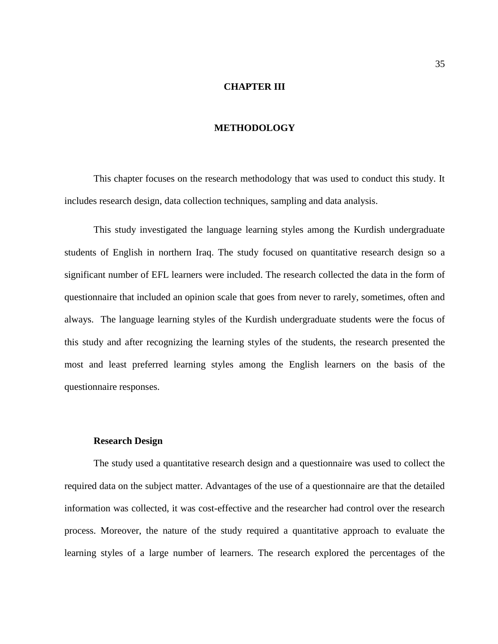#### **CHAPTER III**

#### **METHODOLOGY**

<span id="page-35-1"></span><span id="page-35-0"></span>This chapter focuses on the research methodology that was used to conduct this study. It includes research design, data collection techniques, sampling and data analysis.

This study investigated the language learning styles among the Kurdish undergraduate students of English in northern Iraq. The study focused on quantitative research design so a significant number of EFL learners were included. The research collected the data in the form of questionnaire that included an opinion scale that goes from never to rarely, sometimes, often and always. The language learning styles of the Kurdish undergraduate students were the focus of this study and after recognizing the learning styles of the students, the research presented the most and least preferred learning styles among the English learners on the basis of the questionnaire responses.

#### **Research Design**

<span id="page-35-2"></span>The study used a quantitative research design and a questionnaire was used to collect the required data on the subject matter. Advantages of the use of a questionnaire are that the detailed information was collected, it was cost-effective and the researcher had control over the research process. Moreover, the nature of the study required a quantitative approach to evaluate the learning styles of a large number of learners. The research explored the percentages of the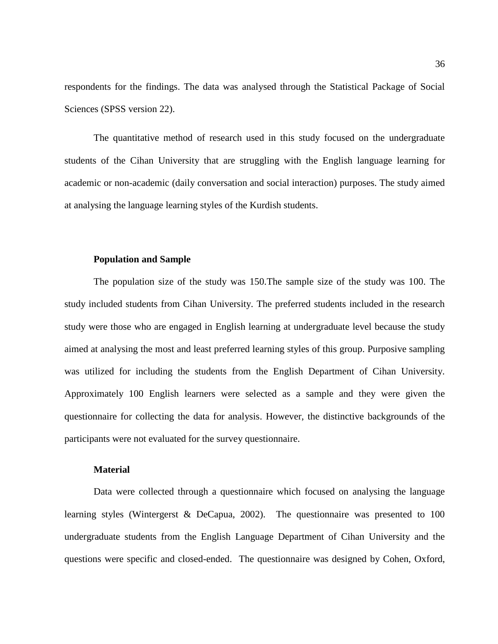respondents for the findings. The data was analysed through the Statistical Package of Social Sciences (SPSS version 22).

The quantitative method of research used in this study focused on the undergraduate students of the Cihan University that are struggling with the English language learning for academic or non-academic (daily conversation and social interaction) purposes. The study aimed at analysing the language learning styles of the Kurdish students.

#### **Population and Sample**

<span id="page-36-0"></span>The population size of the study was 150.The sample size of the study was 100. The study included students from Cihan University. The preferred students included in the research study were those who are engaged in English learning at undergraduate level because the study aimed at analysing the most and least preferred learning styles of this group. Purposive sampling was utilized for including the students from the English Department of Cihan University. Approximately 100 English learners were selected as a sample and they were given the questionnaire for collecting the data for analysis. However, the distinctive backgrounds of the participants were not evaluated for the survey questionnaire.

#### **Material**

<span id="page-36-1"></span>Data were collected through a questionnaire which focused on analysing the language learning styles (Wintergerst & DeCapua, 2002). The questionnaire was presented to 100 undergraduate students from the English Language Department of Cihan University and the questions were specific and closed-ended. The questionnaire was designed by Cohen, Oxford,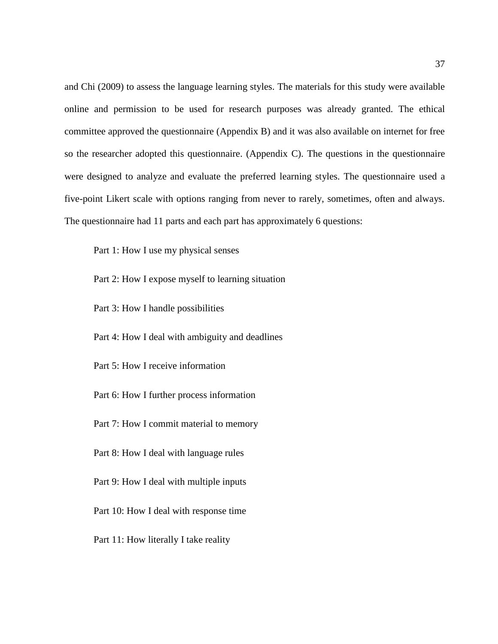and Chi (2009) to assess the language learning styles. The materials for this study were available online and permission to be used for research purposes was already granted. The ethical committee approved the questionnaire (Appendix B) and it was also available on internet for free so the researcher adopted this questionnaire. (Appendix C). The questions in the questionnaire were designed to analyze and evaluate the preferred learning styles. The questionnaire used a five-point Likert scale with options ranging from never to rarely, sometimes, often and always. The questionnaire had 11 parts and each part has approximately 6 questions:

Part 1: How I use my physical senses

Part 2: How I expose myself to learning situation

Part 3: How I handle possibilities

Part 4: How I deal with ambiguity and deadlines

Part 5: How I receive information

Part 6: How I further process information

Part 7: How I commit material to memory

Part 8: How I deal with language rules

Part 9: How I deal with multiple inputs

Part 10: How I deal with response time

Part 11: How literally I take reality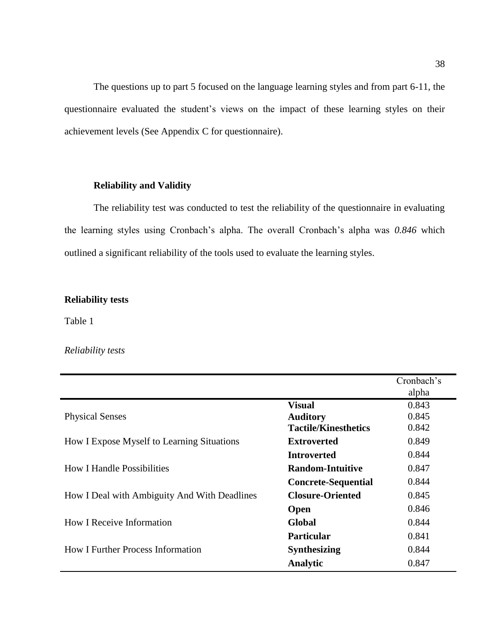The questions up to part 5 focused on the language learning styles and from part 6-11, the questionnaire evaluated the student's views on the impact of these learning styles on their achievement levels (See Appendix C for questionnaire).

#### **Reliability and Validity**

<span id="page-38-0"></span>The reliability test was conducted to test the reliability of the questionnaire in evaluating the learning styles using Cronbach's alpha. The overall Cronbach's alpha was *0.846* which outlined a significant reliability of the tools used to evaluate the learning styles.

#### **Reliability tests**

Table 1

#### *Reliability tests*

|                                              |                             | Cronbach's |
|----------------------------------------------|-----------------------------|------------|
|                                              |                             | alpha      |
|                                              | <b>Visual</b>               | 0.843      |
| <b>Physical Senses</b>                       | <b>Auditory</b>             | 0.845      |
|                                              | <b>Tactile/Kinesthetics</b> | 0.842      |
| How I Expose Myself to Learning Situations   | <b>Extroverted</b>          | 0.849      |
|                                              | <b>Introverted</b>          | 0.844      |
| <b>How I Handle Possibilities</b>            | <b>Random-Intuitive</b>     | 0.847      |
|                                              | <b>Concrete-Sequential</b>  | 0.844      |
| How I Deal with Ambiguity And With Deadlines | <b>Closure-Oriented</b>     | 0.845      |
|                                              | <b>Open</b>                 | 0.846      |
| <b>How I Receive Information</b>             | Global                      | 0.844      |
|                                              | <b>Particular</b>           | 0.841      |
| <b>How I Further Process Information</b>     | <b>Synthesizing</b>         | 0.844      |
|                                              | Analytic                    | 0.847      |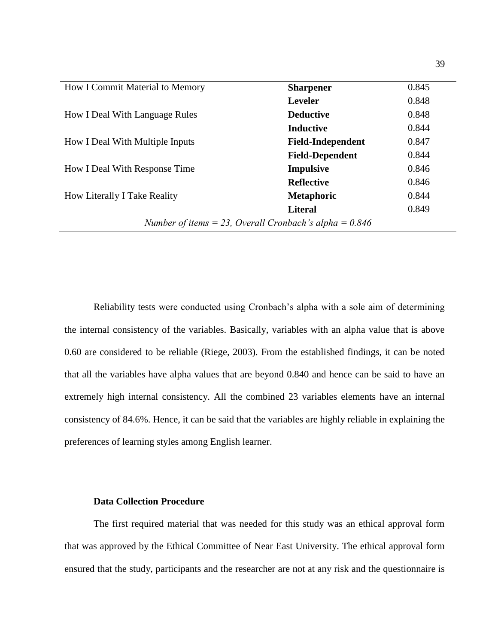| How I Commit Material to Memory                          | <b>Sharpener</b>         | 0.845 |
|----------------------------------------------------------|--------------------------|-------|
|                                                          | <b>Leveler</b>           | 0.848 |
| How I Deal With Language Rules                           | <b>Deductive</b>         | 0.848 |
|                                                          | <b>Inductive</b>         | 0.844 |
| How I Deal With Multiple Inputs                          | <b>Field-Independent</b> | 0.847 |
|                                                          | <b>Field-Dependent</b>   | 0.844 |
| <b>How I Deal With Response Time</b>                     | <b>Impulsive</b>         | 0.846 |
|                                                          | <b>Reflective</b>        | 0.846 |
| <b>How Literally I Take Reality</b>                      | <b>Metaphoric</b>        | 0.844 |
|                                                          | <b>Literal</b>           | 0.849 |
| Number of items = 23, Overall Cronbach's alpha = $0.846$ |                          |       |

Reliability tests were conducted using Cronbach's alpha with a sole aim of determining the internal consistency of the variables. Basically, variables with an alpha value that is above 0.60 are considered to be reliable (Riege, 2003). From the established findings, it can be noted that all the variables have alpha values that are beyond 0.840 and hence can be said to have an extremely high internal consistency. All the combined 23 variables elements have an internal consistency of 84.6%. Hence, it can be said that the variables are highly reliable in explaining the preferences of learning styles among English learner.

#### **Data Collection Procedure**

<span id="page-39-0"></span>The first required material that was needed for this study was an ethical approval form that was approved by the Ethical Committee of Near East University. The ethical approval form ensured that the study, participants and the researcher are not at any risk and the questionnaire is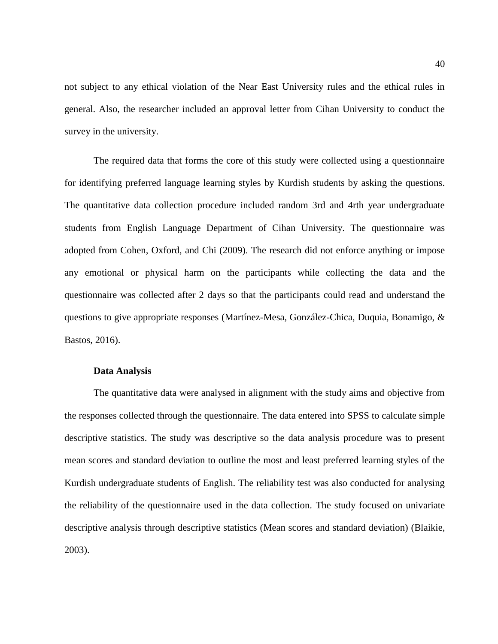not subject to any ethical violation of the Near East University rules and the ethical rules in general. Also, the researcher included an approval letter from Cihan University to conduct the survey in the university.

The required data that forms the core of this study were collected using a questionnaire for identifying preferred language learning styles by Kurdish students by asking the questions. The quantitative data collection procedure included random 3rd and 4rth year undergraduate students from English Language Department of Cihan University. The questionnaire was adopted from Cohen, Oxford, and Chi (2009). The research did not enforce anything or impose any emotional or physical harm on the participants while collecting the data and the questionnaire was collected after 2 days so that the participants could read and understand the questions to give appropriate responses (Martínez-Mesa, González-Chica, Duquia, Bonamigo, & Bastos, 2016).

#### **Data Analysis**

<span id="page-40-0"></span>The quantitative data were analysed in alignment with the study aims and objective from the responses collected through the questionnaire. The data entered into SPSS to calculate simple descriptive statistics. The study was descriptive so the data analysis procedure was to present mean scores and standard deviation to outline the most and least preferred learning styles of the Kurdish undergraduate students of English. The reliability test was also conducted for analysing the reliability of the questionnaire used in the data collection. The study focused on univariate descriptive analysis through descriptive statistics (Mean scores and standard deviation) (Blaikie, 2003).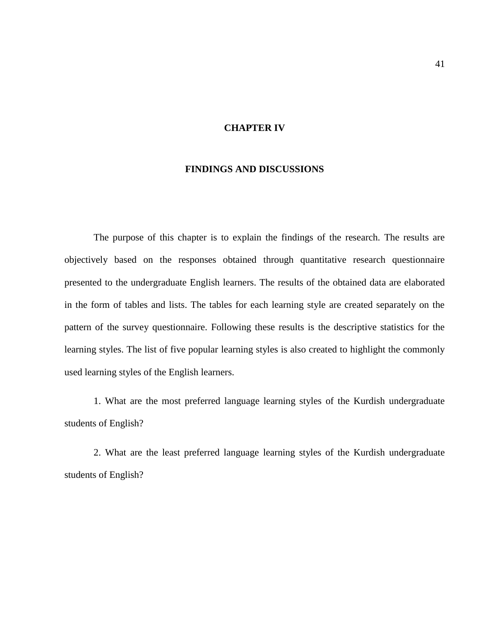#### **CHAPTER IV**

#### **FINDINGS AND DISCUSSIONS**

<span id="page-41-1"></span><span id="page-41-0"></span>The purpose of this chapter is to explain the findings of the research. The results are objectively based on the responses obtained through quantitative research questionnaire presented to the undergraduate English learners. The results of the obtained data are elaborated in the form of tables and lists. The tables for each learning style are created separately on the pattern of the survey questionnaire. Following these results is the descriptive statistics for the learning styles. The list of five popular learning styles is also created to highlight the commonly used learning styles of the English learners.

1. What are the most preferred language learning styles of the Kurdish undergraduate students of English?

2. What are the least preferred language learning styles of the Kurdish undergraduate students of English?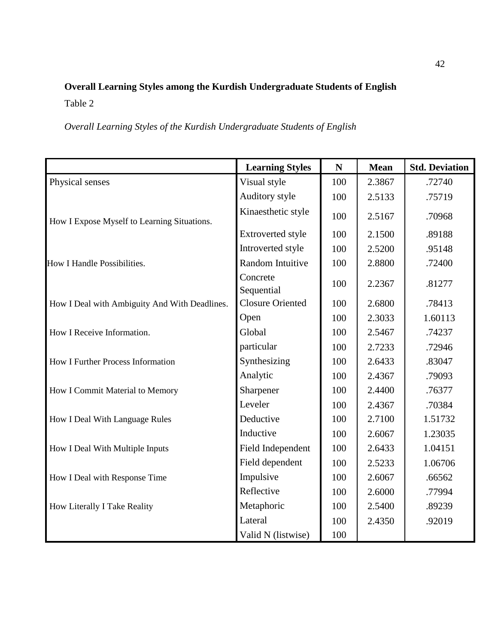# <span id="page-42-0"></span>**Overall Learning Styles among the Kurdish Undergraduate Students of English** Table 2

*Overall Learning Styles of the Kurdish Undergraduate Students of English*

|                                               | <b>Learning Styles</b>   | ${\bf N}$ | <b>Mean</b> | <b>Std. Deviation</b> |
|-----------------------------------------------|--------------------------|-----------|-------------|-----------------------|
| Physical senses                               | Visual style             | 100       | 2.3867      | .72740                |
|                                               | Auditory style           | 100       | 2.5133      | .75719                |
| How I Expose Myself to Learning Situations.   | Kinaesthetic style       | 100       | 2.5167      | .70968                |
|                                               | <b>Extroverted style</b> | 100       | 2.1500      | .89188                |
|                                               | Introverted style        | 100       | 2.5200      | .95148                |
| How I Handle Possibilities.                   | Random Intuitive         | 100       | 2.8800      | .72400                |
|                                               | Concrete<br>Sequential   | 100       | 2.2367      | .81277                |
| How I Deal with Ambiguity And With Deadlines. | <b>Closure Oriented</b>  | 100       | 2.6800      | .78413                |
|                                               | Open                     | 100       | 2.3033      | 1.60113               |
| How I Receive Information.                    | Global                   | 100       | 2.5467      | .74237                |
|                                               | particular               | 100       | 2.7233      | .72946                |
| <b>How I Further Process Information</b>      | Synthesizing             | 100       | 2.6433      | .83047                |
|                                               | Analytic                 | 100       | 2.4367      | .79093                |
| How I Commit Material to Memory               | Sharpener                | 100       | 2.4400      | .76377                |
|                                               | Leveler                  | 100       | 2.4367      | .70384                |
| How I Deal With Language Rules                | Deductive                | 100       | 2.7100      | 1.51732               |
|                                               | Inductive                | 100       | 2.6067      | 1.23035               |
| How I Deal With Multiple Inputs               | Field Independent        | 100       | 2.6433      | 1.04151               |
|                                               | Field dependent          | 100       | 2.5233      | 1.06706               |
| How I Deal with Response Time                 | Impulsive                | 100       | 2.6067      | .66562                |
|                                               | Reflective               | 100       | 2.6000      | .77994                |
| How Literally I Take Reality                  | Metaphoric               | 100       | 2.5400      | .89239                |
|                                               | Lateral                  | 100       | 2.4350      | .92019                |
|                                               | Valid N (listwise)       | 100       |             |                       |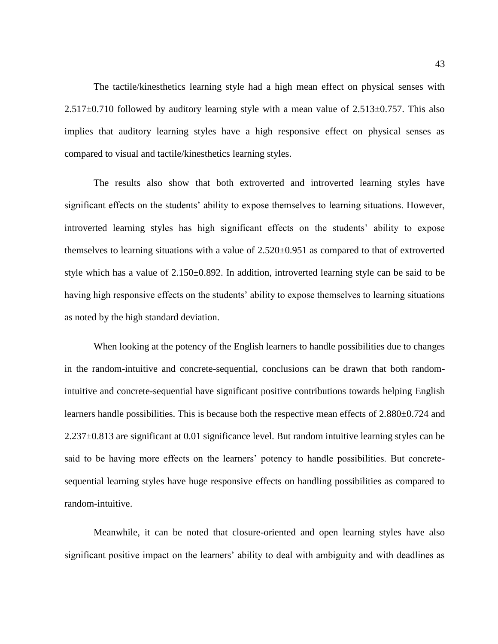The tactile/kinesthetics learning style had a high mean effect on physical senses with  $2.517\pm0.710$  followed by auditory learning style with a mean value of  $2.513\pm0.757$ . This also implies that auditory learning styles have a high responsive effect on physical senses as compared to visual and tactile/kinesthetics learning styles.

The results also show that both extroverted and introverted learning styles have significant effects on the students' ability to expose themselves to learning situations. However, introverted learning styles has high significant effects on the students' ability to expose themselves to learning situations with a value of 2.520±0.951 as compared to that of extroverted style which has a value of 2.150±0.892. In addition, introverted learning style can be said to be having high responsive effects on the students' ability to expose themselves to learning situations as noted by the high standard deviation.

When looking at the potency of the English learners to handle possibilities due to changes in the random-intuitive and concrete-sequential, conclusions can be drawn that both randomintuitive and concrete-sequential have significant positive contributions towards helping English learners handle possibilities. This is because both the respective mean effects of 2.880±0.724 and 2.237±0.813 are significant at 0.01 significance level. But random intuitive learning styles can be said to be having more effects on the learners' potency to handle possibilities. But concretesequential learning styles have huge responsive effects on handling possibilities as compared to random-intuitive.

Meanwhile, it can be noted that closure-oriented and open learning styles have also significant positive impact on the learners' ability to deal with ambiguity and with deadlines as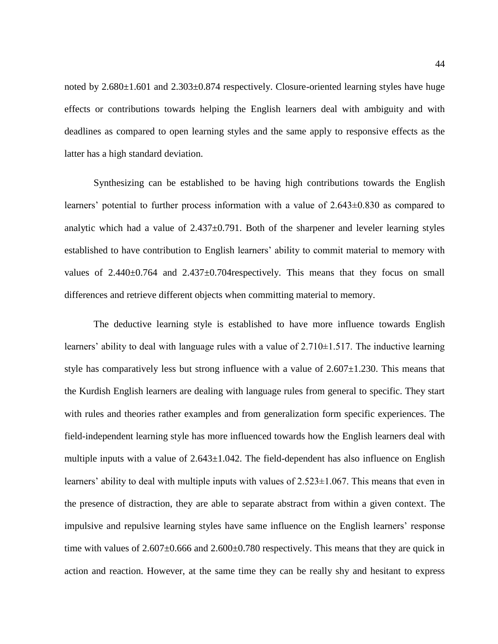noted by 2.680 $\pm$ 1.601 and 2.303 $\pm$ 0.874 respectively. Closure-oriented learning styles have huge effects or contributions towards helping the English learners deal with ambiguity and with deadlines as compared to open learning styles and the same apply to responsive effects as the latter has a high standard deviation.

Synthesizing can be established to be having high contributions towards the English learners' potential to further process information with a value of 2.643±0.830 as compared to analytic which had a value of  $2.437\pm0.791$ . Both of the sharpener and leveler learning styles established to have contribution to English learners' ability to commit material to memory with values of  $2.440\pm0.764$  and  $2.437\pm0.704$  respectively. This means that they focus on small differences and retrieve different objects when committing material to memory.

The deductive learning style is established to have more influence towards English learners' ability to deal with language rules with a value of  $2.710 \pm 1.517$ . The inductive learning style has comparatively less but strong influence with a value of  $2.607 \pm 1.230$ . This means that the Kurdish English learners are dealing with language rules from general to specific. They start with rules and theories rather examples and from generalization form specific experiences. The field-independent learning style has more influenced towards how the English learners deal with multiple inputs with a value of  $2.643 \pm 1.042$ . The field-dependent has also influence on English learners' ability to deal with multiple inputs with values of  $2.523 \pm 1.067$ . This means that even in the presence of distraction, they are able to separate abstract from within a given context. The impulsive and repulsive learning styles have same influence on the English learners' response time with values of  $2.607\pm0.666$  and  $2.600\pm0.780$  respectively. This means that they are quick in action and reaction. However, at the same time they can be really shy and hesitant to express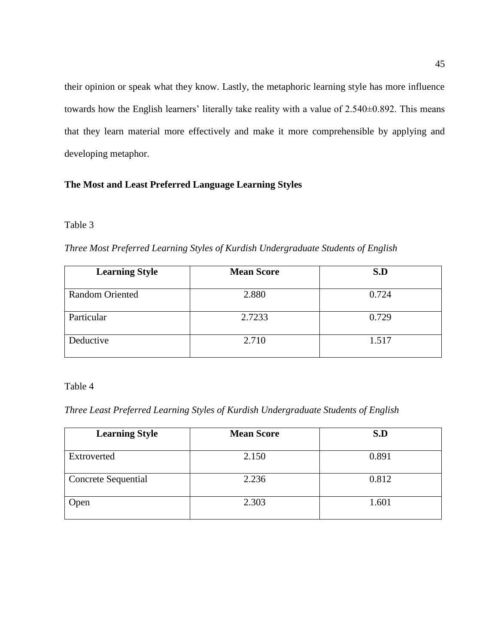their opinion or speak what they know. Lastly, the metaphoric learning style has more influence towards how the English learners' literally take reality with a value of 2.540±0.892. This means that they learn material more effectively and make it more comprehensible by applying and developing metaphor.

#### **The Most and Least Preferred Language Learning Styles**

#### Table 3

*Three Most Preferred Learning Styles of Kurdish Undergraduate Students of English*

| <b>Learning Style</b>  | <b>Mean Score</b> | S.D   |
|------------------------|-------------------|-------|
|                        |                   |       |
| <b>Random Oriented</b> | 2.880             | 0.724 |
| Particular             | 2.7233            | 0.729 |
| Deductive              | 2.710             | 1.517 |

Table 4

*Three Least Preferred Learning Styles of Kurdish Undergraduate Students of English*

| <b>Learning Style</b>      | <b>Mean Score</b> | S.D   |
|----------------------------|-------------------|-------|
| Extroverted                | 2.150             | 0.891 |
| <b>Concrete Sequential</b> | 2.236             | 0.812 |
| Open                       | 2.303             | 1.601 |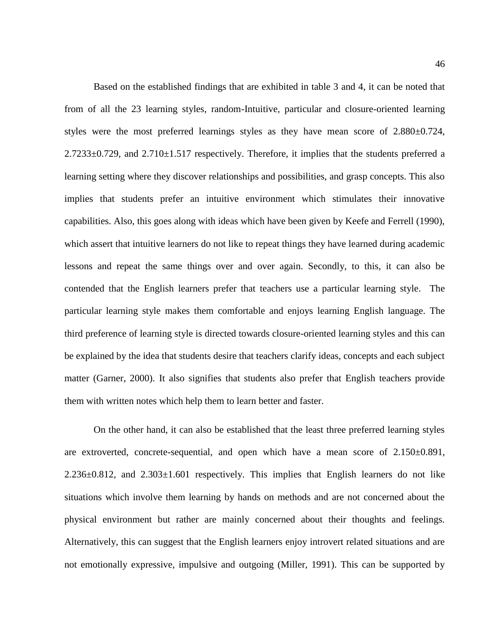Based on the established findings that are exhibited in table 3 and 4, it can be noted that from of all the 23 learning styles, random-Intuitive, particular and closure-oriented learning styles were the most preferred learnings styles as they have mean score of 2.880±0.724,  $2.7233\pm0.729$ , and  $2.710\pm1.517$  respectively. Therefore, it implies that the students preferred a learning setting where they discover relationships and possibilities, and grasp concepts. This also implies that students prefer an intuitive environment which stimulates their innovative capabilities. Also, this goes along with ideas which have been given by Keefe and Ferrell (1990), which assert that intuitive learners do not like to repeat things they have learned during academic lessons and repeat the same things over and over again. Secondly, to this, it can also be contended that the English learners prefer that teachers use a particular learning style. The particular learning style makes them comfortable and enjoys learning English language. The third preference of learning style is directed towards closure-oriented learning styles and this can be explained by the idea that students desire that teachers clarify ideas, concepts and each subject matter (Garner, 2000). It also signifies that students also prefer that English teachers provide them with written notes which help them to learn better and faster.

On the other hand, it can also be established that the least three preferred learning styles are extroverted, concrete-sequential, and open which have a mean score of 2.150±0.891, 2.236±0.812, and 2.303±1.601 respectively. This implies that English learners do not like situations which involve them learning by hands on methods and are not concerned about the physical environment but rather are mainly concerned about their thoughts and feelings. Alternatively, this can suggest that the English learners enjoy introvert related situations and are not emotionally expressive, impulsive and outgoing (Miller, 1991). This can be supported by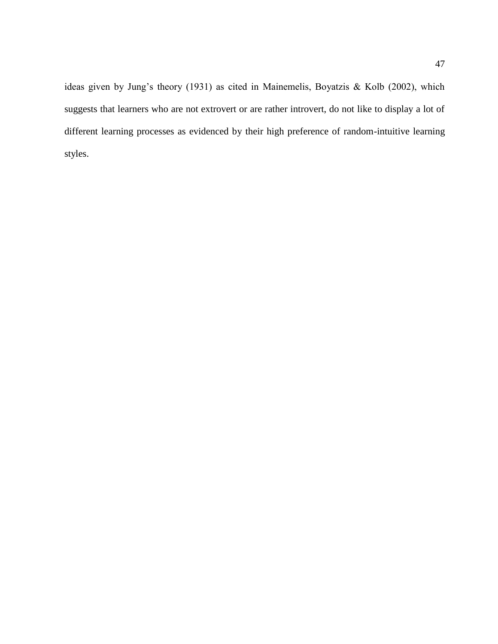ideas given by Jung's theory (1931) as cited in Mainemelis, Boyatzis & Kolb (2002), which suggests that learners who are not extrovert or are rather introvert, do not like to display a lot of different learning processes as evidenced by their high preference of random-intuitive learning styles.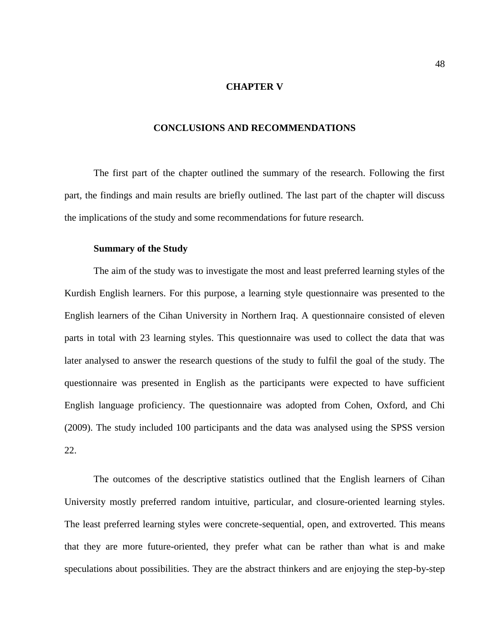#### **CHAPTER V**

#### **CONCLUSIONS AND RECOMMENDATIONS**

<span id="page-48-1"></span><span id="page-48-0"></span>The first part of the chapter outlined the summary of the research. Following the first part, the findings and main results are briefly outlined. The last part of the chapter will discuss the implications of the study and some recommendations for future research.

#### **Summary of the Study**

<span id="page-48-2"></span>The aim of the study was to investigate the most and least preferred learning styles of the Kurdish English learners. For this purpose, a learning style questionnaire was presented to the English learners of the Cihan University in Northern Iraq. A questionnaire consisted of eleven parts in total with 23 learning styles. This questionnaire was used to collect the data that was later analysed to answer the research questions of the study to fulfil the goal of the study. The questionnaire was presented in English as the participants were expected to have sufficient English language proficiency. The questionnaire was adopted from Cohen, Oxford, and Chi (2009). The study included 100 participants and the data was analysed using the SPSS version 22.

The outcomes of the descriptive statistics outlined that the English learners of Cihan University mostly preferred random intuitive, particular, and closure-oriented learning styles. The least preferred learning styles were concrete-sequential, open, and extroverted. This means that they are more future-oriented, they prefer what can be rather than what is and make speculations about possibilities. They are the abstract thinkers and are enjoying the step-by-step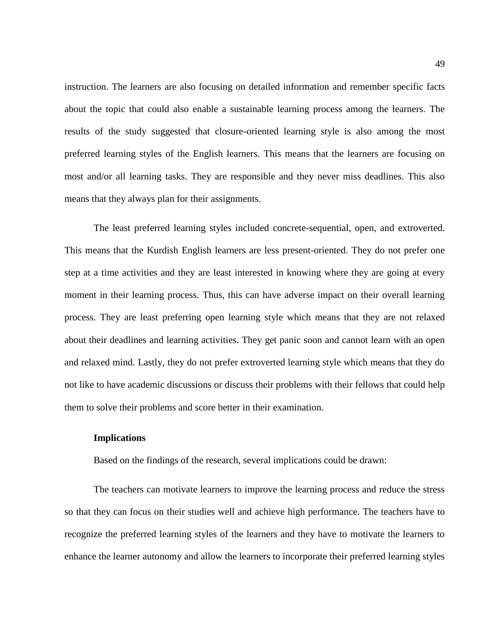instruction. The learners are also focusing on detailed information and remember specific facts about the topic that could also enable a sustainable learning process among the learners. The results of the study suggested that closure-oriented learning style is also among the most preferred learning styles of the English learners. This means that the learners are focusing on most and/or all learning tasks. They are responsible and they never miss deadlines. This also means that they always plan for their assignments.

The least preferred learning styles included concrete-sequential, open, and extroverted. This means that the Kurdish English learners are less present-oriented. They do not prefer one step at a time activities and they are least interested in knowing where they are going at every moment in their learning process. Thus, this can have adverse impact on their overall learning process. They are least preferring open learning style which means that they are not relaxed about their deadlines and learning activities. They get panic soon and cannot learn with an open and relaxed mind. Lastly, they do not prefer extroverted learning style which means that they do not like to have academic discussions or discuss their problems with their fellows that could help them to solve their problems and score better in their examination.

#### <span id="page-49-0"></span>**Implications**

Based on the findings of the research, several implications could be drawn:

The teachers can motivate learners to improve the learning process and reduce the stress so that they can focus on their studies well and achieve high performance. The teachers have to recognize the preferred learning styles of the learners and they have to motivate the learners to enhance the learner autonomy and allow the learners to incorporate their preferred learning styles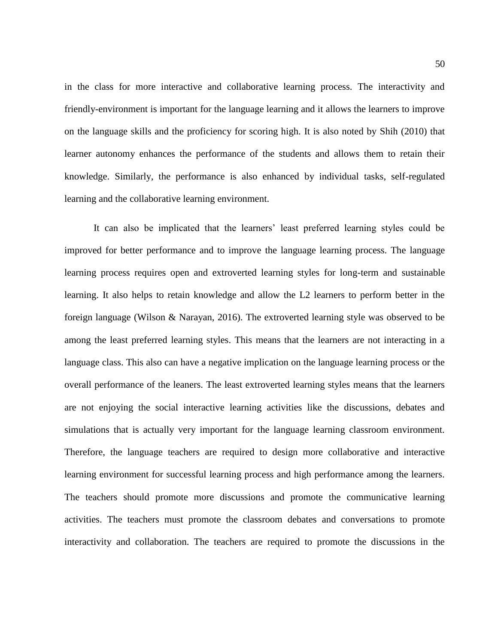in the class for more interactive and collaborative learning process. The interactivity and friendly-environment is important for the language learning and it allows the learners to improve on the language skills and the proficiency for scoring high. It is also noted by Shih (2010) that learner autonomy enhances the performance of the students and allows them to retain their knowledge. Similarly, the performance is also enhanced by individual tasks, self-regulated learning and the collaborative learning environment.

It can also be implicated that the learners' least preferred learning styles could be improved for better performance and to improve the language learning process. The language learning process requires open and extroverted learning styles for long-term and sustainable learning. It also helps to retain knowledge and allow the L2 learners to perform better in the foreign language (Wilson & Narayan, 2016). The extroverted learning style was observed to be among the least preferred learning styles. This means that the learners are not interacting in a language class. This also can have a negative implication on the language learning process or the overall performance of the leaners. The least extroverted learning styles means that the learners are not enjoying the social interactive learning activities like the discussions, debates and simulations that is actually very important for the language learning classroom environment. Therefore, the language teachers are required to design more collaborative and interactive learning environment for successful learning process and high performance among the learners. The teachers should promote more discussions and promote the communicative learning activities. The teachers must promote the classroom debates and conversations to promote interactivity and collaboration. The teachers are required to promote the discussions in the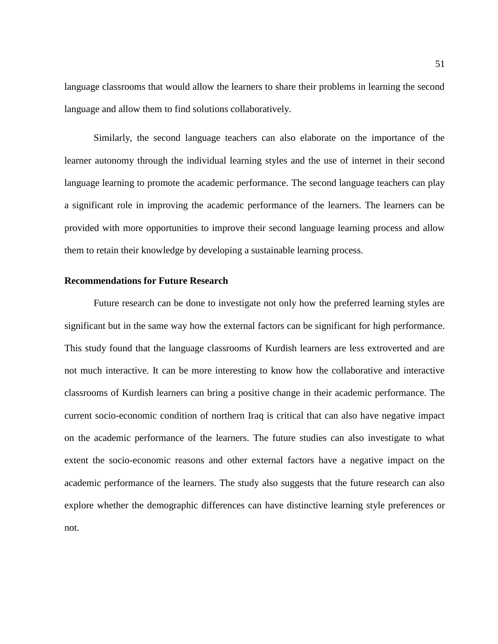language classrooms that would allow the learners to share their problems in learning the second language and allow them to find solutions collaboratively.

Similarly, the second language teachers can also elaborate on the importance of the learner autonomy through the individual learning styles and the use of internet in their second language learning to promote the academic performance. The second language teachers can play a significant role in improving the academic performance of the learners. The learners can be provided with more opportunities to improve their second language learning process and allow them to retain their knowledge by developing a sustainable learning process.

#### <span id="page-51-0"></span>**Recommendations for Future Research**

Future research can be done to investigate not only how the preferred learning styles are significant but in the same way how the external factors can be significant for high performance. This study found that the language classrooms of Kurdish learners are less extroverted and are not much interactive. It can be more interesting to know how the collaborative and interactive classrooms of Kurdish learners can bring a positive change in their academic performance. The current socio-economic condition of northern Iraq is critical that can also have negative impact on the academic performance of the learners. The future studies can also investigate to what extent the socio-economic reasons and other external factors have a negative impact on the academic performance of the learners. The study also suggests that the future research can also explore whether the demographic differences can have distinctive learning style preferences or not.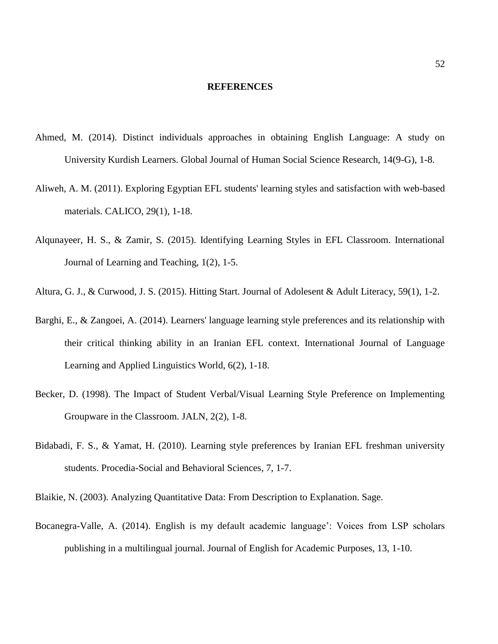#### **REFERENCES**

- <span id="page-52-0"></span>Ahmed, M. (2014). Distinct individuals approaches in obtaining English Language: A study on University Kurdish Learners. Global Journal of Human Social Science Research, 14(9-G), 1-8.
- Aliweh, A. M. (2011). Exploring Egyptian EFL students' learning styles and satisfaction with web-based materials. CALICO, 29(1), 1-18.
- Alqunayeer, H. S., & Zamir, S. (2015). Identifying Learning Styles in EFL Classroom. International Journal of Learning and Teaching, 1(2), 1-5.
- Altura, G. J., & Curwood, J. S. (2015). Hitting Start. Journal of Adolesent & Adult Literacy, 59(1), 1-2.
- Barghi, E., & Zangoei, A. (2014). Learners' language learning style preferences and its relationship with their critical thinking ability in an Iranian EFL context. International Journal of Language Learning and Applied Linguistics World, 6(2), 1-18.
- Becker, D. (1998). The Impact of Student Verbal/Visual Learning Style Preference on Implementing Groupware in the Classroom. JALN, 2(2), 1-8.
- Bidabadi, F. S., & Yamat, H. (2010). Learning style preferences by Iranian EFL freshman university students. Procedia-Social and Behavioral Sciences, 7, 1-7.

Blaikie, N. (2003). Analyzing Quantitative Data: From Description to Explanation. Sage.

Bocanegra-Valle, A. (2014). English is my default academic language': Voices from LSP scholars publishing in a multilingual journal. Journal of English for Academic Purposes, 13, 1-10.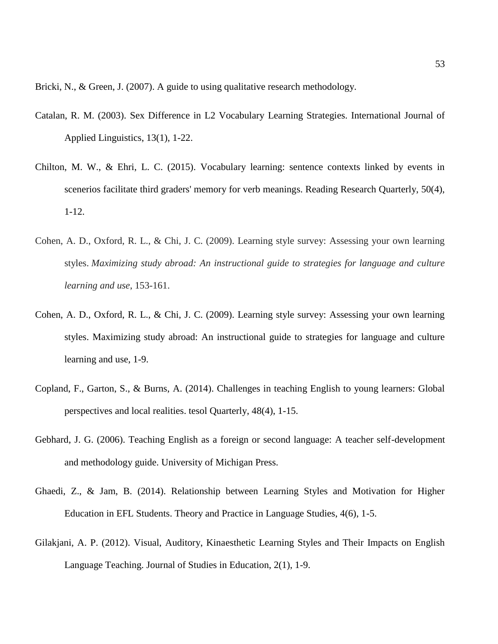Bricki, N., & Green, J. (2007). A guide to using qualitative research methodology.

- Catalan, R. M. (2003). Sex Difference in L2 Vocabulary Learning Strategies. International Journal of Applied Linguistics, 13(1), 1-22.
- Chilton, M. W., & Ehri, L. C. (2015). Vocabulary learning: sentence contexts linked by events in scenerios facilitate third graders' memory for verb meanings. Reading Research Quarterly, 50(4), 1-12.
- Cohen, A. D., Oxford, R. L., & Chi, J. C. (2009). Learning style survey: Assessing your own learning styles. *Maximizing study abroad: An instructional guide to strategies for language and culture learning and use*, 153-161.
- Cohen, A. D., Oxford, R. L., & Chi, J. C. (2009). Learning style survey: Assessing your own learning styles. Maximizing study abroad: An instructional guide to strategies for language and culture learning and use, 1-9.
- Copland, F., Garton, S., & Burns, A. (2014). Challenges in teaching English to young learners: Global perspectives and local realities. tesol Quarterly, 48(4), 1-15.
- Gebhard, J. G. (2006). Teaching English as a foreign or second language: A teacher self-development and methodology guide. University of Michigan Press.
- Ghaedi, Z., & Jam, B. (2014). Relationship between Learning Styles and Motivation for Higher Education in EFL Students. Theory and Practice in Language Studies, 4(6), 1-5.
- Gilakjani, A. P. (2012). Visual, Auditory, Kinaesthetic Learning Styles and Their Impacts on English Language Teaching. Journal of Studies in Education, 2(1), 1-9.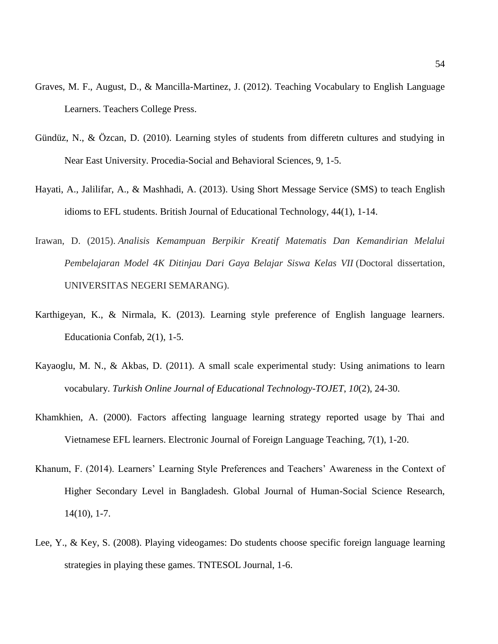- Graves, M. F., August, D., & Mancilla-Martinez, J. (2012). Teaching Vocabulary to English Language Learners. Teachers College Press.
- Gündüz, N., & Özcan, D. (2010). Learning styles of students from differetn cultures and studying in Near East University. Procedia-Social and Behavioral Sciences, 9, 1-5.
- Hayati, A., Jalilifar, A., & Mashhadi, A. (2013). Using Short Message Service (SMS) to teach English idioms to EFL students. British Journal of Educational Technology, 44(1), 1-14.
- Irawan, D. (2015). *Analisis Kemampuan Berpikir Kreatif Matematis Dan Kemandirian Melalui Pembelajaran Model 4K Ditinjau Dari Gaya Belajar Siswa Kelas VII* (Doctoral dissertation, UNIVERSITAS NEGERI SEMARANG).
- Karthigeyan, K., & Nirmala, K. (2013). Learning style preference of English language learners. Educationia Confab, 2(1), 1-5.
- Kayaoglu, M. N., & Akbas, D. (2011). A small scale experimental study: Using animations to learn vocabulary. *Turkish Online Journal of Educational Technology-TOJET*, *10*(2), 24-30.
- Khamkhien, A. (2000). Factors affecting language learning strategy reported usage by Thai and Vietnamese EFL learners. Electronic Journal of Foreign Language Teaching, 7(1), 1-20.
- Khanum, F. (2014). Learners' Learning Style Preferences and Teachers' Awareness in the Context of Higher Secondary Level in Bangladesh. Global Journal of Human-Social Science Research, 14(10), 1-7.
- Lee, Y., & Key, S. (2008). Playing videogames: Do students choose specific foreign language learning strategies in playing these games. TNTESOL Journal, 1-6.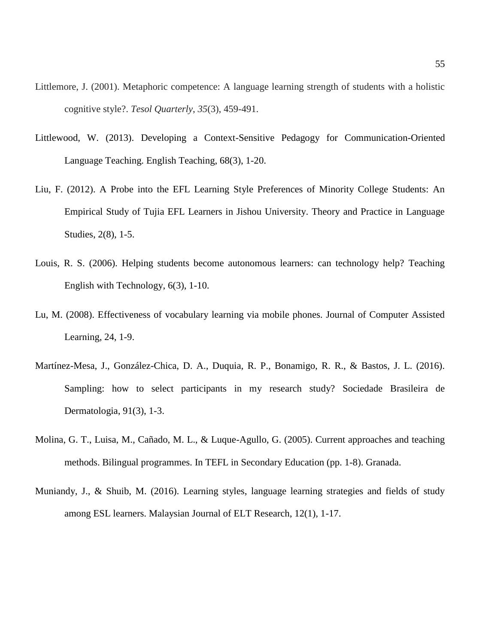- Littlemore, J. (2001). Metaphoric competence: A language learning strength of students with a holistic cognitive style?. *Tesol Quarterly*, *35*(3), 459-491.
- Littlewood, W. (2013). Developing a Context-Sensitive Pedagogy for Communication-Oriented Language Teaching. English Teaching, 68(3), 1-20.
- Liu, F. (2012). A Probe into the EFL Learning Style Preferences of Minority College Students: An Empirical Study of Tujia EFL Learners in Jishou University. Theory and Practice in Language Studies, 2(8), 1-5.
- Louis, R. S. (2006). Helping students become autonomous learners: can technology help? Teaching English with Technology, 6(3), 1-10.
- Lu, M. (2008). Effectiveness of vocabulary learning via mobile phones. Journal of Computer Assisted Learning, 24, 1-9.
- Martínez-Mesa, J., González-Chica, D. A., Duquia, R. P., Bonamigo, R. R., & Bastos, J. L. (2016). Sampling: how to select participants in my research study? Sociedade Brasileira de Dermatologia, 91(3), 1-3.
- Molina, G. T., Luisa, M., Cañado, M. L., & Luque-Agullo, G. (2005). Current approaches and teaching methods. Bilingual programmes. In TEFL in Secondary Education (pp. 1-8). Granada.
- Muniandy, J., & Shuib, M. (2016). Learning styles, language learning strategies and fields of study among ESL learners. Malaysian Journal of ELT Research, 12(1), 1-17.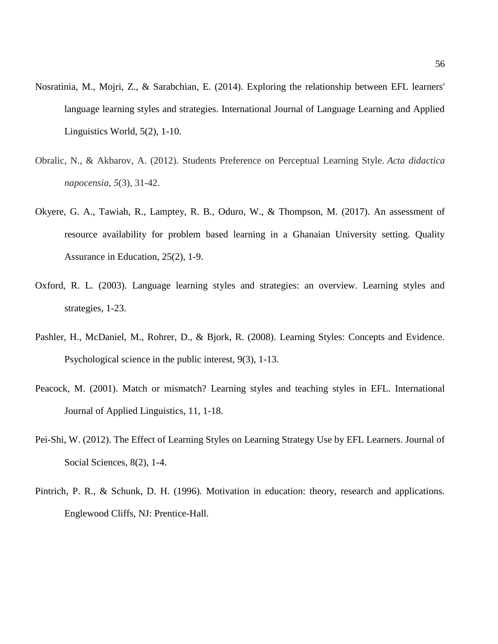- Nosratinia, M., Mojri, Z., & Sarabchian, E. (2014). Exploring the relationship between EFL learners' language learning styles and strategies. International Journal of Language Learning and Applied Linguistics World, 5(2), 1-10.
- Obralic, N., & Akbarov, A. (2012). Students Preference on Perceptual Learning Style. *Acta didactica napocensia*, *5*(3), 31-42.
- Okyere, G. A., Tawiah, R., Lamptey, R. B., Oduro, W., & Thompson, M. (2017). An assessment of resource availability for problem based learning in a Ghanaian University setting. Quality Assurance in Education, 25(2), 1-9.
- Oxford, R. L. (2003). Language learning styles and strategies: an overview. Learning styles and strategies, 1-23.
- Pashler, H., McDaniel, M., Rohrer, D., & Bjork, R. (2008). Learning Styles: Concepts and Evidence. Psychological science in the public interest, 9(3), 1-13.
- Peacock, M. (2001). Match or mismatch? Learning styles and teaching styles in EFL. International Journal of Applied Linguistics, 11, 1-18.
- Pei-Shi, W. (2012). The Effect of Learning Styles on Learning Strategy Use by EFL Learners. Journal of Social Sciences, 8(2), 1-4.
- Pintrich, P. R., & Schunk, D. H. (1996). Motivation in education: theory, research and applications. Englewood Cliffs, NJ: Prentice-Hall.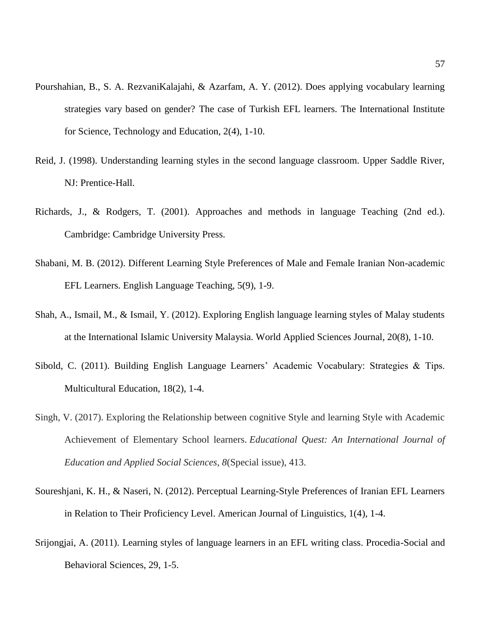- Pourshahian, B., S. A. RezvaniKalajahi, & Azarfam, A. Y. (2012). Does applying vocabulary learning strategies vary based on gender? The case of Turkish EFL learners. The International Institute for Science, Technology and Education, 2(4), 1-10.
- Reid, J. (1998). Understanding learning styles in the second language classroom. Upper Saddle River, NJ: Prentice-Hall.
- Richards, J., & Rodgers, T. (2001). Approaches and methods in language Teaching (2nd ed.). Cambridge: Cambridge University Press.
- Shabani, M. B. (2012). Different Learning Style Preferences of Male and Female Iranian Non-academic EFL Learners. English Language Teaching, 5(9), 1-9.
- Shah, A., Ismail, M., & Ismail, Y. (2012). Exploring English language learning styles of Malay students at the International Islamic University Malaysia. World Applied Sciences Journal, 20(8), 1-10.
- Sibold, C. (2011). Building English Language Learners' Academic Vocabulary: Strategies & Tips. Multicultural Education, 18(2), 1-4.
- Singh, V. (2017). Exploring the Relationship between cognitive Style and learning Style with Academic Achievement of Elementary School learners. *Educational Quest: An International Journal of Education and Applied Social Sciences*, *8*(Special issue), 413.
- Soureshjani, K. H., & Naseri, N. (2012). Perceptual Learning-Style Preferences of Iranian EFL Learners in Relation to Their Proficiency Level. American Journal of Linguistics, 1(4), 1-4.
- Srijongjai, A. (2011). Learning styles of language learners in an EFL writing class. Procedia-Social and Behavioral Sciences, 29, 1-5.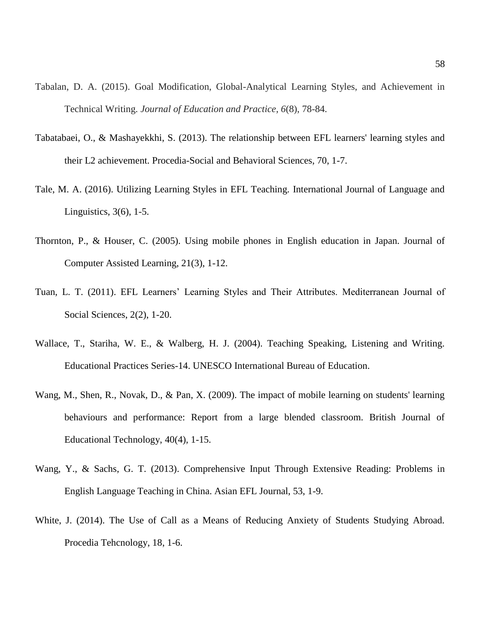- Tabalan, D. A. (2015). Goal Modification, Global-Analytical Learning Styles, and Achievement in Technical Writing. *Journal of Education and Practice*, *6*(8), 78-84.
- Tabatabaei, O., & Mashayekkhi, S. (2013). The relationship between EFL learners' learning styles and their L2 achievement. Procedia-Social and Behavioral Sciences, 70, 1-7.
- Tale, M. A. (2016). Utilizing Learning Styles in EFL Teaching. International Journal of Language and Linguistics, 3(6), 1-5.
- Thornton, P., & Houser, C. (2005). Using mobile phones in English education in Japan. Journal of Computer Assisted Learning, 21(3), 1-12.
- Tuan, L. T. (2011). EFL Learners' Learning Styles and Their Attributes. Mediterranean Journal of Social Sciences, 2(2), 1-20.
- Wallace, T., Stariha, W. E., & Walberg, H. J. (2004). Teaching Speaking, Listening and Writing. Educational Practices Series-14. UNESCO International Bureau of Education.
- Wang, M., Shen, R., Novak, D., & Pan, X. (2009). The impact of mobile learning on students' learning behaviours and performance: Report from a large blended classroom. British Journal of Educational Technology, 40(4), 1-15.
- Wang, Y., & Sachs, G. T. (2013). Comprehensive Input Through Extensive Reading: Problems in English Language Teaching in China. Asian EFL Journal, 53, 1-9.
- White, J. (2014). The Use of Call as a Means of Reducing Anxiety of Students Studying Abroad. Procedia Tehcnology, 18, 1-6.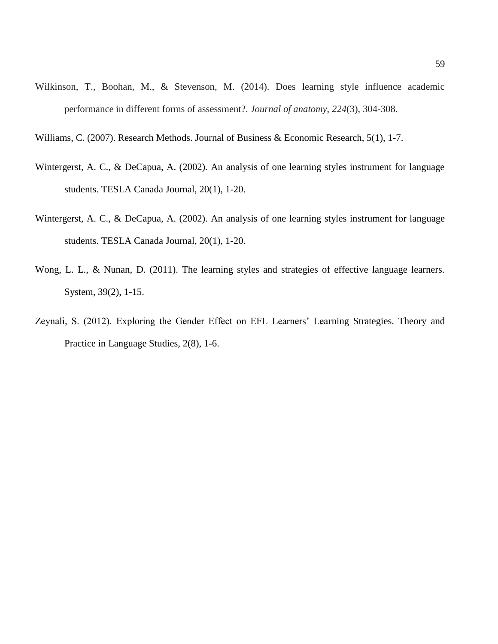Wilkinson, T., Boohan, M., & Stevenson, M. (2014). Does learning style influence academic performance in different forms of assessment?. *Journal of anatomy*, *224*(3), 304-308.

Williams, C. (2007). Research Methods. Journal of Business & Economic Research, 5(1), 1-7.

- Wintergerst, A. C., & DeCapua, A. (2002). An analysis of one learning styles instrument for language students. TESLA Canada Journal, 20(1), 1-20.
- Wintergerst, A. C., & DeCapua, A. (2002). An analysis of one learning styles instrument for language students. TESLA Canada Journal, 20(1), 1-20.
- Wong, L. L., & Nunan, D. (2011). The learning styles and strategies of effective language learners. System, 39(2), 1-15.
- Zeynali, S. (2012). Exploring the Gender Effect on EFL Learners' Learning Strategies. Theory and Practice in Language Studies, 2(8), 1-6.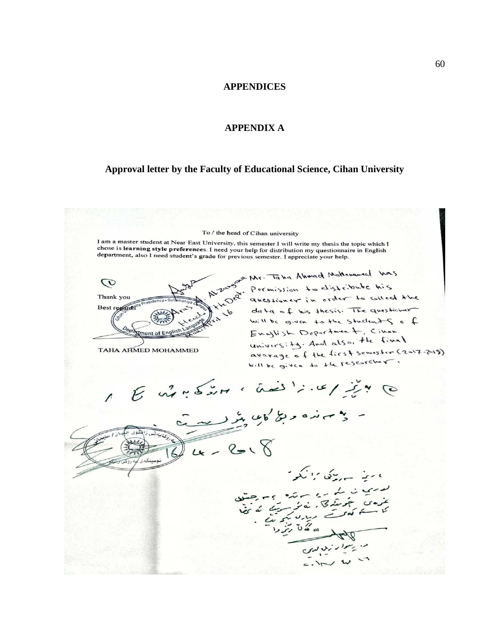#### **APPENDICES**

#### **APPENDIX A**

#### <span id="page-60-2"></span><span id="page-60-1"></span><span id="page-60-0"></span>**Approval letter by the Faculty of Educational Science, Cihan University**

To / the head of Cihan university

I am a master student at Near East University, this semester I will write my thesis the topic which I s and a master statement at Near East University, this semester I will write my thesis the topic which I chose is **learning style preference**s. I need your help for distribution my questionnaire in English department, also

AMr. Taha Ahmad Moltanumed Was  $\mathcal{O}$ Thank you Best regards

Permission to distribute his questioner in order to collect the data of his thesis. The questioner will be given to the students of English Department, Cinen university. And also, the final avarage of the first semester (2017-2018) will be given to the researcher.

TAHA AHMED MOHAMMED

 $4 - 8 - 8$ ، سيز سهرتڪ برائيگر ن یک رو سائند و به جنتید<br>منجمنگه کار نه نوست که نما<br>اکدر ساله برست که نما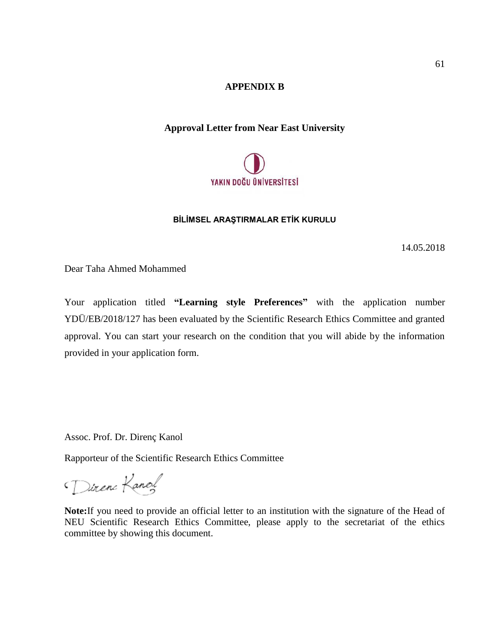#### **APPENDIX B**

#### <span id="page-61-1"></span><span id="page-61-0"></span>**Approval Letter from Near East University**



#### **BİLİMSEL ARAŞTIRMALAR ETİK KURULU**

14.05.2018

Dear Taha Ahmed Mohammed

Your application titled **"Learning style Preferences"** with the application number YDÜ/EB/2018/127 has been evaluated by the Scientific Research Ethics Committee and granted approval. You can start your research on the condition that you will abide by the information provided in your application form.

Assoc. Prof. Dr. Direnç Kanol

Rapporteur of the Scientific Research Ethics Committee

Direne Kanol

**Note:**If you need to provide an official letter to an institution with the signature of the Head of NEU Scientific Research Ethics Committee, please apply to the secretariat of the ethics committee by showing this document.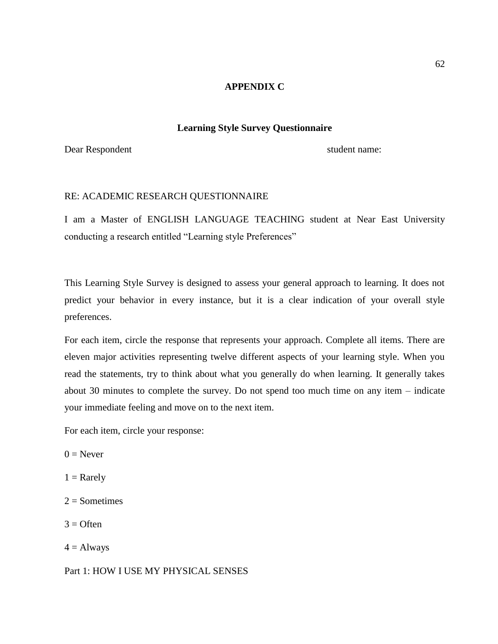#### **APPENDIX C**

#### **Learning Style Survey Questionnaire**

<span id="page-62-1"></span><span id="page-62-0"></span>Dear Respondent student name:

#### RE: ACADEMIC RESEARCH QUESTIONNAIRE

I am a Master of ENGLISH LANGUAGE TEACHING student at Near East University conducting a research entitled "Learning style Preferences"

This Learning Style Survey is designed to assess your general approach to learning. It does not predict your behavior in every instance, but it is a clear indication of your overall style preferences.

For each item, circle the response that represents your approach. Complete all items. There are eleven major activities representing twelve different aspects of your learning style. When you read the statements, try to think about what you generally do when learning. It generally takes about 30 minutes to complete the survey. Do not spend too much time on any item – indicate your immediate feeling and move on to the next item.

For each item, circle your response:

- $0 =$ Never
- $1 =$ Rarely
- $2 =$ Sometimes
- $3 =$  Often
- $4 =$  Always

Part 1: HOW I USE MY PHYSICAL SENSES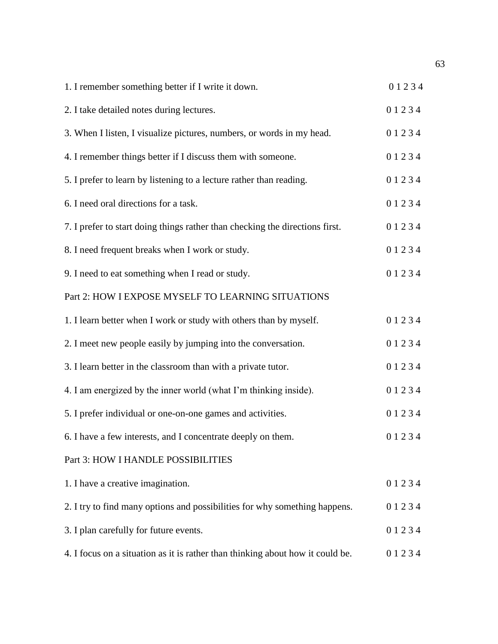| 1. I remember something better if I write it down.                             | 01234     |
|--------------------------------------------------------------------------------|-----------|
| 2. I take detailed notes during lectures.                                      | 01234     |
| 3. When I listen, I visualize pictures, numbers, or words in my head.          | 01234     |
| 4. I remember things better if I discuss them with someone.                    | 01234     |
| 5. I prefer to learn by listening to a lecture rather than reading.            | 01234     |
| 6. I need oral directions for a task.                                          | 01234     |
| 7. I prefer to start doing things rather than checking the directions first.   | 01234     |
| 8. I need frequent breaks when I work or study.                                | 01234     |
| 9. I need to eat something when I read or study.                               | 01234     |
| Part 2: HOW I EXPOSE MYSELF TO LEARNING SITUATIONS                             |           |
| 1. I learn better when I work or study with others than by myself.             | 01234     |
| 2. I meet new people easily by jumping into the conversation.                  | 01234     |
| 3. I learn better in the classroom than with a private tutor.                  | 01234     |
| 4. I am energized by the inner world (what I'm thinking inside).               | 01234     |
| 5. I prefer individual or one-on-one games and activities.                     | 01234     |
| 6. I have a few interests, and I concentrate deeply on them.                   | 01234     |
| Part 3: HOW I HANDLE POSSIBILITIES                                             |           |
| 1. I have a creative imagination.                                              | 01234     |
| 2. I try to find many options and possibilities for why something happens.     | 01234     |
| 3. I plan carefully for future events.                                         | 01234     |
| 4. I focus on a situation as it is rather than thinking about how it could be. | 0 1 2 3 4 |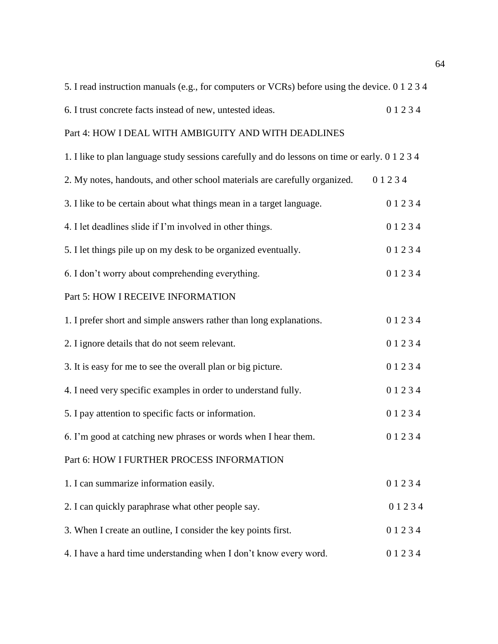| 5. I read instruction manuals (e.g., for computers or VCRs) before using the device. 0 1 2 3 4 |       |
|------------------------------------------------------------------------------------------------|-------|
| 6. I trust concrete facts instead of new, untested ideas.                                      | 01234 |
| Part 4: HOW I DEAL WITH AMBIGUITY AND WITH DEADLINES                                           |       |
| 1. I like to plan language study sessions carefully and do lessons on time or early. 0 1 2 3 4 |       |
| 2. My notes, handouts, and other school materials are carefully organized.                     | 01234 |
| 3. I like to be certain about what things mean in a target language.                           | 01234 |
| 4. I let deadlines slide if I'm involved in other things.                                      | 01234 |
| 5. I let things pile up on my desk to be organized eventually.                                 | 01234 |
| 6. I don't worry about comprehending everything.                                               | 01234 |
| Part 5: HOW I RECEIVE INFORMATION                                                              |       |
| 1. I prefer short and simple answers rather than long explanations.                            | 01234 |
| 2. I ignore details that do not seem relevant.                                                 | 01234 |
| 3. It is easy for me to see the overall plan or big picture.                                   | 01234 |
| 4. I need very specific examples in order to understand fully.                                 | 01234 |
| 5. I pay attention to specific facts or information.                                           | 01234 |
| 6. I'm good at catching new phrases or words when I hear them.                                 | 01234 |
| Part 6: HOW I FURTHER PROCESS INFORMATION                                                      |       |
| 1. I can summarize information easily.                                                         | 01234 |
| 2. I can quickly paraphrase what other people say.                                             | 01234 |
| 3. When I create an outline, I consider the key points first.                                  | 01234 |
| 4. I have a hard time understanding when I don't know every word.                              | 01234 |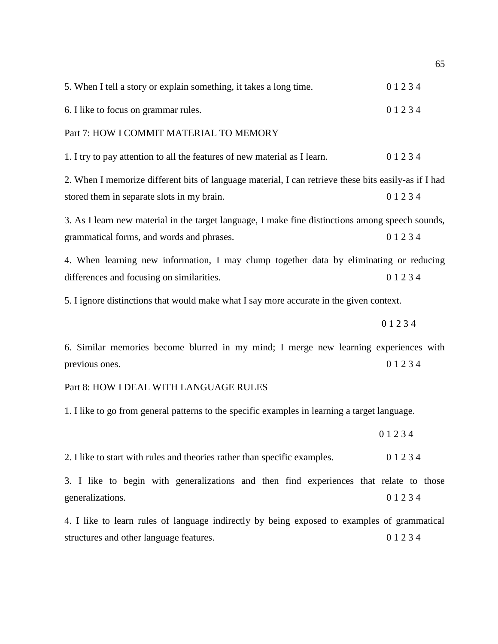| 5. When I tell a story or explain something, it takes a long time.                                                                                 | 01234 |  |  |  |  |
|----------------------------------------------------------------------------------------------------------------------------------------------------|-------|--|--|--|--|
| 6. I like to focus on grammar rules.                                                                                                               | 01234 |  |  |  |  |
| Part 7: HOW I COMMIT MATERIAL TO MEMORY                                                                                                            |       |  |  |  |  |
| 1. I try to pay attention to all the features of new material as I learn.                                                                          | 01234 |  |  |  |  |
| 2. When I memorize different bits of language material, I can retrieve these bits easily-as if I had<br>stored them in separate slots in my brain. | 01234 |  |  |  |  |
| 3. As I learn new material in the target language, I make fine distinctions among speech sounds,<br>grammatical forms, and words and phrases.      | 01234 |  |  |  |  |
| 4. When learning new information, I may clump together data by eliminating or reducing<br>differences and focusing on similarities.                | 01234 |  |  |  |  |
| 5. I ignore distinctions that would make what I say more accurate in the given context.                                                            |       |  |  |  |  |
|                                                                                                                                                    | 01234 |  |  |  |  |
| 6. Similar memories become blurred in my mind; I merge new learning experiences with<br>previous ones.                                             | 01234 |  |  |  |  |
| Part 8: HOW I DEAL WITH LANGUAGE RULES                                                                                                             |       |  |  |  |  |
| 1. I like to go from general patterns to the specific examples in learning a target language.                                                      |       |  |  |  |  |
|                                                                                                                                                    | 01234 |  |  |  |  |
| 2. I like to start with rules and theories rather than specific examples.                                                                          | 01234 |  |  |  |  |
| 3. I like to begin with generalizations and then find experiences that relate to those                                                             |       |  |  |  |  |
| generalizations.                                                                                                                                   | 01234 |  |  |  |  |
| 4. I like to learn rules of language indirectly by being exposed to examples of grammatical<br>structures and other language features.             | 01234 |  |  |  |  |
|                                                                                                                                                    |       |  |  |  |  |

65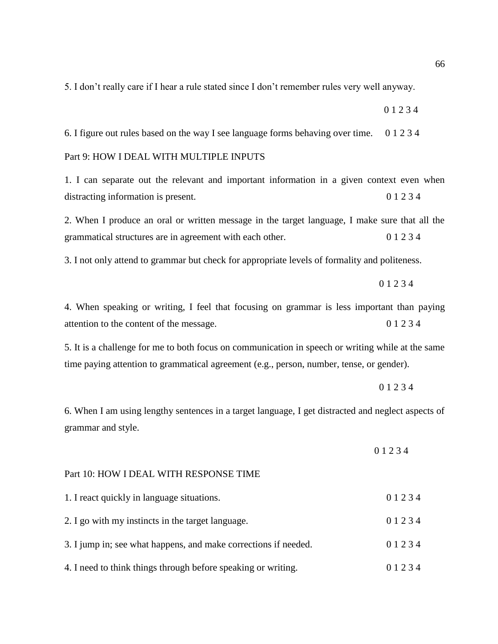5. I don't really care if I hear a rule stated since I don't remember rules very well anyway.

6. I figure out rules based on the way I see language forms behaving over time. 0 1 2 3 4

0 1 2 3 4

#### Part 9: HOW I DEAL WITH MULTIPLE INPUTS

1. I can separate out the relevant and important information in a given context even when distracting information is present. 0 1 2 3 4

2. When I produce an oral or written message in the target language, I make sure that all the grammatical structures are in agreement with each other. 0 1 2 3 4

3. I not only attend to grammar but check for appropriate levels of formality and politeness.

0 1 2 3 4

4. When speaking or writing, I feel that focusing on grammar is less important than paying attention to the content of the message. 0 1 2 3 4

5. It is a challenge for me to both focus on communication in speech or writing while at the same time paying attention to grammatical agreement (e.g., person, number, tense, or gender).

#### 0 1 2 3 4

6. When I am using lengthy sentences in a target language, I get distracted and neglect aspects of grammar and style.

Part 10: HOW I DEAL WITH RESPONSE TIME

| 1. I react quickly in language situations.                      | 0 1 2 3 4 |
|-----------------------------------------------------------------|-----------|
| 2. I go with my instincts in the target language.               | 0 1 2 3 4 |
| 3. I jump in; see what happens, and make corrections if needed. | 0 1 2 3 4 |
| 4. I need to think things through before speaking or writing.   | 0 1 2 3 4 |

0 1 2 3 4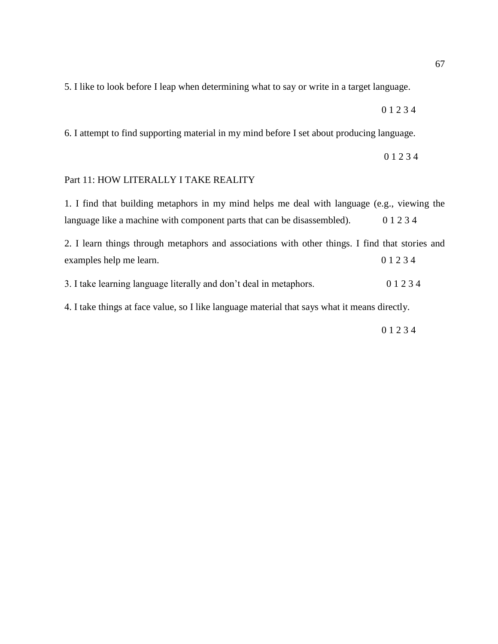5. I like to look before I leap when determining what to say or write in a target language.

0 1 2 3 4

6. I attempt to find supporting material in my mind before I set about producing language.

0 1 2 3 4

#### Part 11: HOW LITERALLY I TAKE REALITY

1. I find that building metaphors in my mind helps me deal with language (e.g., viewing the language like a machine with component parts that can be disassembled). 0 1 2 3 4

2. I learn things through metaphors and associations with other things. I find that stories and examples help me learn. 0 1 2 3 4

3. I take learning language literally and don't deal in metaphors. 0 1 2 3 4

4. I take things at face value, so I like language material that says what it means directly.

0 1 2 3 4